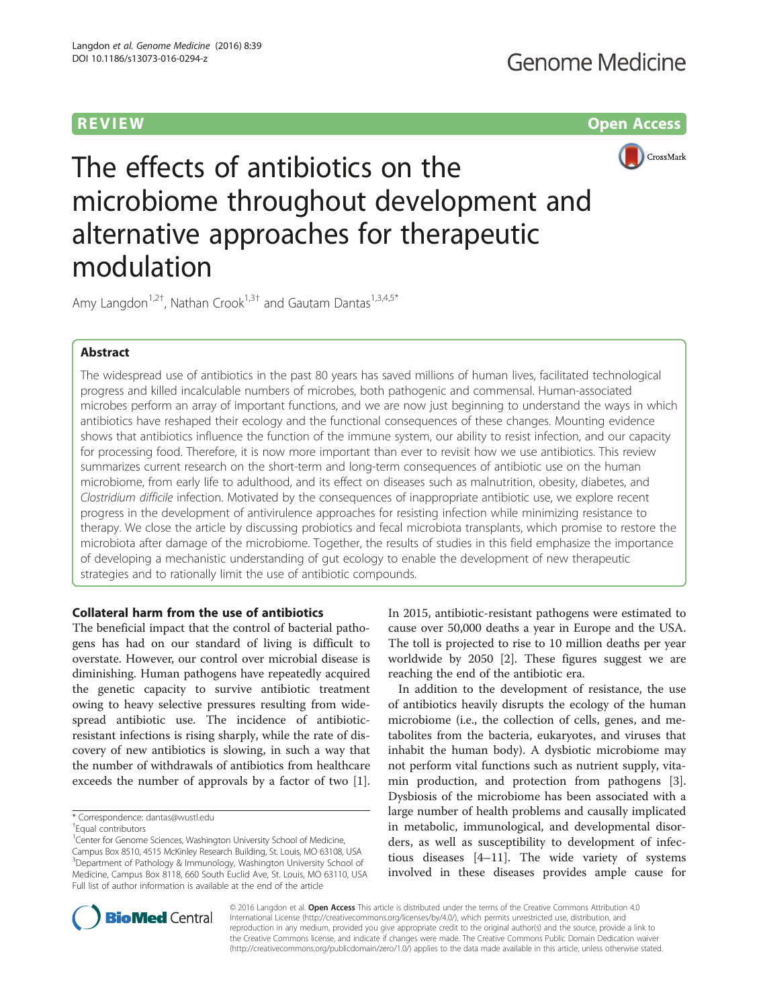**REVIEW CONSTRUCTION CONSTRUCTION CONSTRUCTS** 



The effects of antibiotics on the microbiome throughout development and alternative approaches for therapeutic modulation

Amy Langdon<sup>1,2†</sup>, Nathan Crook<sup>1,3†</sup> and Gautam Dantas<sup>1,3,4,5\*</sup>

# Abstract

The widespread use of antibiotics in the past 80 years has saved millions of human lives, facilitated technological progress and killed incalculable numbers of microbes, both pathogenic and commensal. Human-associated microbes perform an array of important functions, and we are now just beginning to understand the ways in which antibiotics have reshaped their ecology and the functional consequences of these changes. Mounting evidence shows that antibiotics influence the function of the immune system, our ability to resist infection, and our capacity for processing food. Therefore, it is now more important than ever to revisit how we use antibiotics. This review summarizes current research on the short-term and long-term consequences of antibiotic use on the human microbiome, from early life to adulthood, and its effect on diseases such as malnutrition, obesity, diabetes, and Clostridium difficile infection. Motivated by the consequences of inappropriate antibiotic use, we explore recent progress in the development of antivirulence approaches for resisting infection while minimizing resistance to therapy. We close the article by discussing probiotics and fecal microbiota transplants, which promise to restore the microbiota after damage of the microbiome. Together, the results of studies in this field emphasize the importance of developing a mechanistic understanding of gut ecology to enable the development of new therapeutic strategies and to rationally limit the use of antibiotic compounds.

# Collateral harm from the use of antibiotics

The beneficial impact that the control of bacterial pathogens has had on our standard of living is difficult to overstate. However, our control over microbial disease is diminishing. Human pathogens have repeatedly acquired the genetic capacity to survive antibiotic treatment owing to heavy selective pressures resulting from widespread antibiotic use. The incidence of antibioticresistant infections is rising sharply, while the rate of discovery of new antibiotics is slowing, in such a way that the number of withdrawals of antibiotics from healthcare exceeds the number of approvals by a factor of two [\[1](#page-10-0)].

<sup>1</sup>Center for Genome Sciences, Washington University School of Medicine, Campus Box 8510, 4515 McKinley Research Building, St. Louis, MO 63108, USA <sup>3</sup>Department of Pathology & Immunology, Washington University School of Medicine, Campus Box 8118, 660 South Euclid Ave, St. Louis, MO 63110, USA Full list of author information is available at the end of the article

In 2015, antibiotic-resistant pathogens were estimated to cause over 50,000 deaths a year in Europe and the USA. The toll is projected to rise to 10 million deaths per year worldwide by 2050 [[2\]](#page-10-0). These figures suggest we are reaching the end of the antibiotic era.

In addition to the development of resistance, the use of antibiotics heavily disrupts the ecology of the human microbiome (i.e., the collection of cells, genes, and metabolites from the bacteria, eukaryotes, and viruses that inhabit the human body). A dysbiotic microbiome may not perform vital functions such as nutrient supply, vitamin production, and protection from pathogens [\[3](#page-10-0)]. Dysbiosis of the microbiome has been associated with a large number of health problems and causally implicated in metabolic, immunological, and developmental disorders, as well as susceptibility to development of infectious diseases [[4](#page-10-0)–[11](#page-11-0)]. The wide variety of systems involved in these diseases provides ample cause for



© 2016 Langdon et al. Open Access This article is distributed under the terms of the Creative Commons Attribution 4.0 International License [\(http://creativecommons.org/licenses/by/4.0/](http://creativecommons.org/licenses/by/4.0/)), which permits unrestricted use, distribution, and reproduction in any medium, provided you give appropriate credit to the original author(s) and the source, provide a link to the Creative Commons license, and indicate if changes were made. The Creative Commons Public Domain Dedication waiver [\(http://creativecommons.org/publicdomain/zero/1.0/](http://creativecommons.org/publicdomain/zero/1.0/)) applies to the data made available in this article, unless otherwise stated.

<sup>\*</sup> Correspondence: [dantas@wustl.edu](mailto:dantas@wustl.edu) †

Equal contributors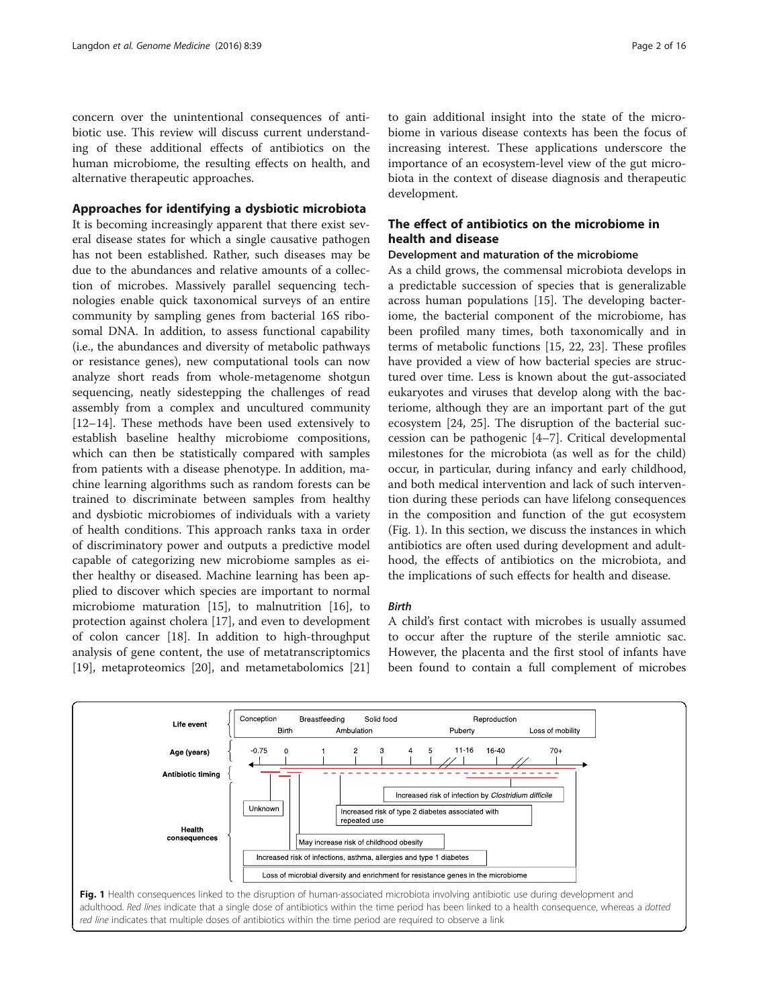concern over the unintentional consequences of antibiotic use. This review will discuss current understanding of these additional effects of antibiotics on the human microbiome, the resulting effects on health, and alternative therapeutic approaches.

## Approaches for identifying a dysbiotic microbiota

It is becoming increasingly apparent that there exist several disease states for which a single causative pathogen has not been established. Rather, such diseases may be due to the abundances and relative amounts of a collection of microbes. Massively parallel sequencing technologies enable quick taxonomical surveys of an entire community by sampling genes from bacterial 16S ribosomal DNA. In addition, to assess functional capability (i.e., the abundances and diversity of metabolic pathways or resistance genes), new computational tools can now analyze short reads from whole-metagenome shotgun sequencing, neatly sidestepping the challenges of read assembly from a complex and uncultured community [[12](#page-11-0)–[14](#page-11-0)]. These methods have been used extensively to establish baseline healthy microbiome compositions, which can then be statistically compared with samples from patients with a disease phenotype. In addition, machine learning algorithms such as random forests can be trained to discriminate between samples from healthy and dysbiotic microbiomes of individuals with a variety of health conditions. This approach ranks taxa in order of discriminatory power and outputs a predictive model capable of categorizing new microbiome samples as either healthy or diseased. Machine learning has been applied to discover which species are important to normal microbiome maturation [\[15\]](#page-11-0), to malnutrition [\[16](#page-11-0)], to protection against cholera [\[17\]](#page-11-0), and even to development of colon cancer [\[18](#page-11-0)]. In addition to high-throughput analysis of gene content, the use of metatranscriptomics [[19\]](#page-11-0), metaproteomics [\[20\]](#page-11-0), and metametabolomics [[21](#page-11-0)]

to gain additional insight into the state of the microbiome in various disease contexts has been the focus of increasing interest. These applications underscore the importance of an ecosystem-level view of the gut microbiota in the context of disease diagnosis and therapeutic development.

# The effect of antibiotics on the microbiome in health and disease

# Development and maturation of the microbiome

As a child grows, the commensal microbiota develops in a predictable succession of species that is generalizable across human populations [\[15\]](#page-11-0). The developing bacteriome, the bacterial component of the microbiome, has been profiled many times, both taxonomically and in terms of metabolic functions [[15, 22](#page-11-0), [23\]](#page-11-0). These profiles have provided a view of how bacterial species are structured over time. Less is known about the gut-associated eukaryotes and viruses that develop along with the bacteriome, although they are an important part of the gut ecosystem [[24](#page-11-0), [25](#page-11-0)]. The disruption of the bacterial succession can be pathogenic [[4](#page-10-0)–[7](#page-10-0)]. Critical developmental milestones for the microbiota (as well as for the child) occur, in particular, during infancy and early childhood, and both medical intervention and lack of such intervention during these periods can have lifelong consequences in the composition and function of the gut ecosystem (Fig. 1). In this section, we discuss the instances in which antibiotics are often used during development and adulthood, the effects of antibiotics on the microbiota, and the implications of such effects for health and disease.

## Birth

A child's first contact with microbes is usually assumed to occur after the rupture of the sterile amniotic sac. However, the placenta and the first stool of infants have been found to contain a full complement of microbes

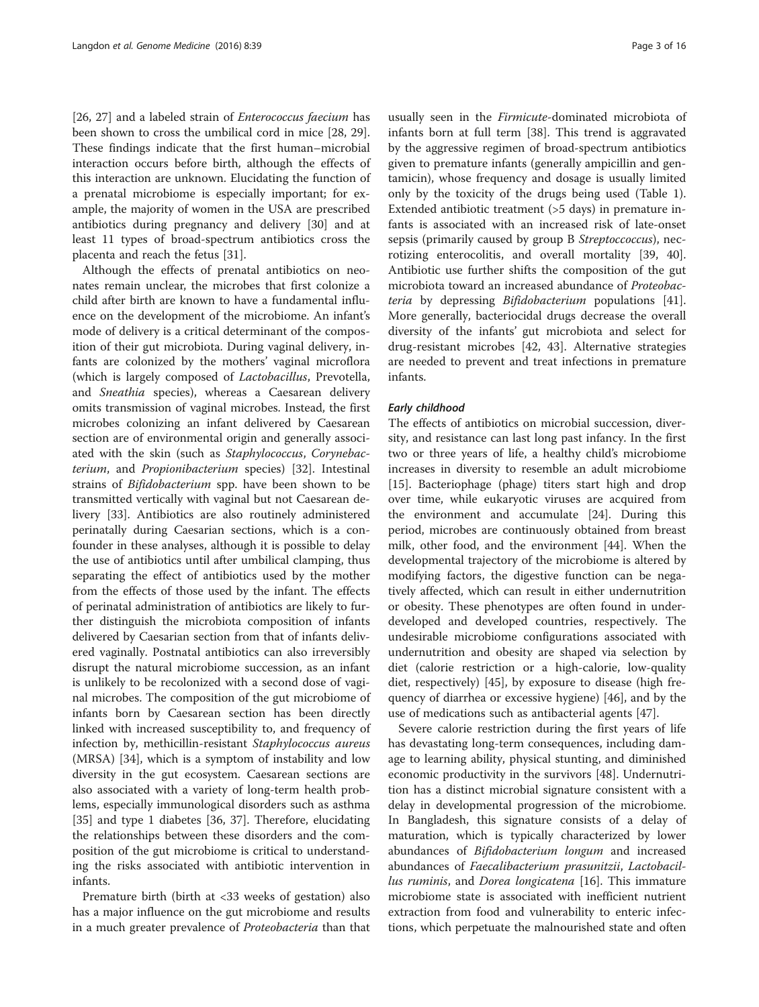[[26, 27\]](#page-11-0) and a labeled strain of *Enterococcus faecium* has been shown to cross the umbilical cord in mice [\[28](#page-11-0), [29](#page-11-0)]. These findings indicate that the first human–microbial interaction occurs before birth, although the effects of this interaction are unknown. Elucidating the function of a prenatal microbiome is especially important; for example, the majority of women in the USA are prescribed antibiotics during pregnancy and delivery [\[30](#page-11-0)] and at least 11 types of broad-spectrum antibiotics cross the placenta and reach the fetus [\[31\]](#page-11-0).

Although the effects of prenatal antibiotics on neonates remain unclear, the microbes that first colonize a child after birth are known to have a fundamental influence on the development of the microbiome. An infant's mode of delivery is a critical determinant of the composition of their gut microbiota. During vaginal delivery, infants are colonized by the mothers' vaginal microflora (which is largely composed of Lactobacillus, Prevotella, and Sneathia species), whereas a Caesarean delivery omits transmission of vaginal microbes. Instead, the first microbes colonizing an infant delivered by Caesarean section are of environmental origin and generally associated with the skin (such as Staphylococcus, Corynebacterium, and Propionibacterium species) [\[32\]](#page-11-0). Intestinal strains of Bifidobacterium spp. have been shown to be transmitted vertically with vaginal but not Caesarean delivery [\[33\]](#page-11-0). Antibiotics are also routinely administered perinatally during Caesarian sections, which is a confounder in these analyses, although it is possible to delay the use of antibiotics until after umbilical clamping, thus separating the effect of antibiotics used by the mother from the effects of those used by the infant. The effects of perinatal administration of antibiotics are likely to further distinguish the microbiota composition of infants delivered by Caesarian section from that of infants delivered vaginally. Postnatal antibiotics can also irreversibly disrupt the natural microbiome succession, as an infant is unlikely to be recolonized with a second dose of vaginal microbes. The composition of the gut microbiome of infants born by Caesarean section has been directly linked with increased susceptibility to, and frequency of infection by, methicillin-resistant Staphylococcus aureus (MRSA) [[34\]](#page-11-0), which is a symptom of instability and low diversity in the gut ecosystem. Caesarean sections are also associated with a variety of long-term health problems, especially immunological disorders such as asthma [[35\]](#page-11-0) and type 1 diabetes [[36, 37\]](#page-11-0). Therefore, elucidating the relationships between these disorders and the composition of the gut microbiome is critical to understanding the risks associated with antibiotic intervention in infants.

Premature birth (birth at <33 weeks of gestation) also has a major influence on the gut microbiome and results in a much greater prevalence of Proteobacteria than that

usually seen in the Firmicute-dominated microbiota of infants born at full term [[38](#page-11-0)]. This trend is aggravated by the aggressive regimen of broad-spectrum antibiotics given to premature infants (generally ampicillin and gentamicin), whose frequency and dosage is usually limited only by the toxicity of the drugs being used (Table [1](#page-3-0)). Extended antibiotic treatment (>5 days) in premature infants is associated with an increased risk of late-onset sepsis (primarily caused by group B Streptoccoccus), necrotizing enterocolitis, and overall mortality [[39, 40](#page-11-0)]. Antibiotic use further shifts the composition of the gut microbiota toward an increased abundance of Proteobacteria by depressing Bifidobacterium populations [\[41](#page-11-0)]. More generally, bacteriocidal drugs decrease the overall diversity of the infants' gut microbiota and select for drug-resistant microbes [\[42](#page-11-0), [43\]](#page-11-0). Alternative strategies are needed to prevent and treat infections in premature infants.

### Early childhood

The effects of antibiotics on microbial succession, diversity, and resistance can last long past infancy. In the first two or three years of life, a healthy child's microbiome increases in diversity to resemble an adult microbiome [[15\]](#page-11-0). Bacteriophage (phage) titers start high and drop over time, while eukaryotic viruses are acquired from the environment and accumulate [[24\]](#page-11-0). During this period, microbes are continuously obtained from breast milk, other food, and the environment [[44\]](#page-11-0). When the developmental trajectory of the microbiome is altered by modifying factors, the digestive function can be negatively affected, which can result in either undernutrition or obesity. These phenotypes are often found in underdeveloped and developed countries, respectively. The undesirable microbiome configurations associated with undernutrition and obesity are shaped via selection by diet (calorie restriction or a high-calorie, low-quality diet, respectively) [\[45](#page-11-0)], by exposure to disease (high frequency of diarrhea or excessive hygiene) [[46\]](#page-11-0), and by the use of medications such as antibacterial agents [\[47](#page-11-0)].

Severe calorie restriction during the first years of life has devastating long-term consequences, including damage to learning ability, physical stunting, and diminished economic productivity in the survivors [[48\]](#page-11-0). Undernutrition has a distinct microbial signature consistent with a delay in developmental progression of the microbiome. In Bangladesh, this signature consists of a delay of maturation, which is typically characterized by lower abundances of Bifidobacterium longum and increased abundances of Faecalibacterium prasunitzii, Lactobacillus ruminis, and Dorea longicatena [\[16\]](#page-11-0). This immature microbiome state is associated with inefficient nutrient extraction from food and vulnerability to enteric infections, which perpetuate the malnourished state and often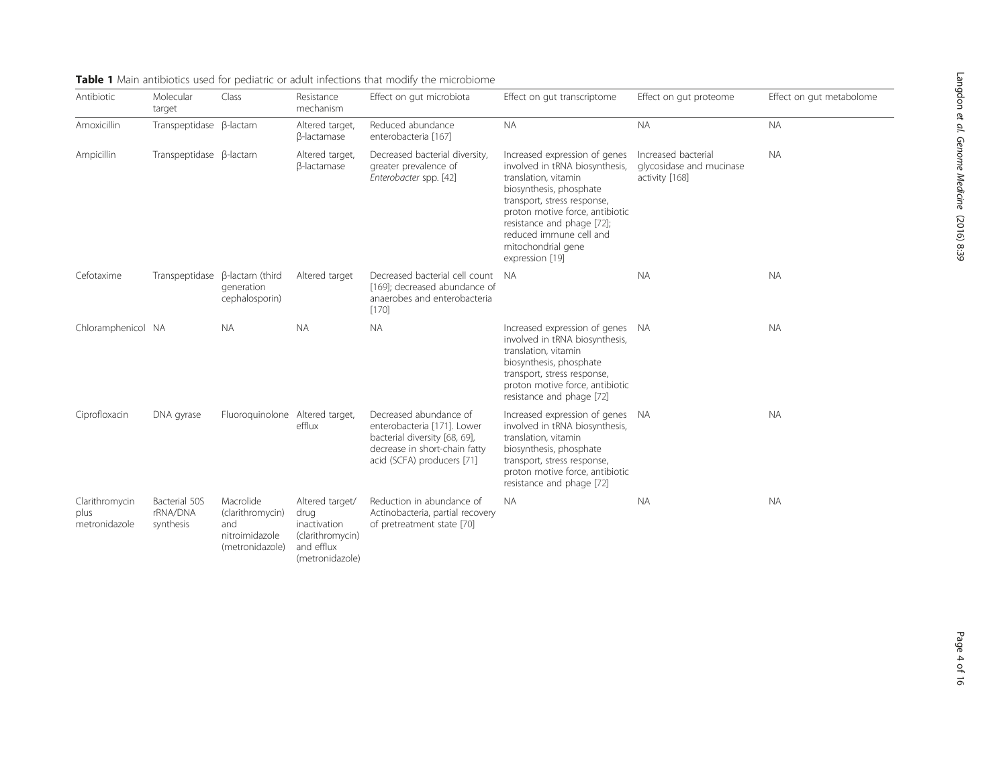| Antibiotic                              | Molecular<br>target                    | Class                                                                     | Resistance<br>mechanism                                                                      | Effect on gut microbiota                                                                                                                              | Effect on gut transcriptome                                                                                                                                                                                                                                                            | Effect on gut proteome                                            | Effect on gut metabolome |
|-----------------------------------------|----------------------------------------|---------------------------------------------------------------------------|----------------------------------------------------------------------------------------------|-------------------------------------------------------------------------------------------------------------------------------------------------------|----------------------------------------------------------------------------------------------------------------------------------------------------------------------------------------------------------------------------------------------------------------------------------------|-------------------------------------------------------------------|--------------------------|
| Amoxicillin                             | Transpeptidase ß-lactam                |                                                                           | Altered target,<br>β-lactamase                                                               | Reduced abundance<br>enterobacteria [167]                                                                                                             | <b>NA</b>                                                                                                                                                                                                                                                                              | <b>NA</b>                                                         | <b>NA</b>                |
| Ampicillin                              | Transpeptidase B-lactam                |                                                                           | Altered target,<br>β-lactamase                                                               | Decreased bacterial diversity,<br>greater prevalence of<br>Enterobacter spp. [42]                                                                     | Increased expression of genes<br>involved in tRNA biosynthesis,<br>translation, vitamin<br>biosynthesis, phosphate<br>transport, stress response,<br>proton motive force, antibiotic<br>resistance and phage [72];<br>reduced immune cell and<br>mitochondrial gene<br>expression [19] | Increased bacterial<br>glycosidase and mucinase<br>activity [168] | <b>NA</b>                |
| Cefotaxime                              |                                        | Transpeptidase $\beta$ -lactam (third<br>generation<br>cephalosporin)     | Altered target                                                                               | Decreased bacterial cell count<br>[169]; decreased abundance of<br>anaerobes and enterobacteria<br>[170]                                              | - NA                                                                                                                                                                                                                                                                                   | <b>NA</b>                                                         | <b>NA</b>                |
| Chloramphenicol NA                      |                                        | <b>NA</b>                                                                 | <b>NA</b>                                                                                    | <b>NA</b>                                                                                                                                             | Increased expression of genes NA<br>involved in tRNA biosynthesis,<br>translation, vitamin<br>biosynthesis, phosphate<br>transport, stress response,<br>proton motive force, antibiotic<br>resistance and phage [72]                                                                   |                                                                   | <b>NA</b>                |
| Ciprofloxacin                           | DNA gyrase                             | Fluoroquinolone Altered target,                                           | efflux                                                                                       | Decreased abundance of<br>enterobacteria [171]. Lower<br>bacterial diversity [68, 69],<br>decrease in short-chain fatty<br>acid (SCFA) producers [71] | Increased expression of genes NA<br>involved in tRNA biosynthesis,<br>translation, vitamin<br>biosynthesis, phosphate<br>transport, stress response,<br>proton motive force, antibiotic<br>resistance and phage [72]                                                                   |                                                                   | <b>NA</b>                |
| Clarithromycin<br>plus<br>metronidazole | Bacterial 50S<br>rRNA/DNA<br>synthesis | Macrolide<br>(clarithromycin)<br>and<br>nitroimidazole<br>(metronidazole) | Altered target/<br>drug<br>inactivation<br>(clarithromycin)<br>and efflux<br>(metronidazole) | Reduction in abundance of<br>Actinobacteria, partial recovery<br>of pretreatment state [70]                                                           | <b>NA</b>                                                                                                                                                                                                                                                                              | <b>NA</b>                                                         | <b>NA</b>                |

<span id="page-3-0"></span>Table 1 Main antibiotics used for pediatric or adult infections that modify the microbiome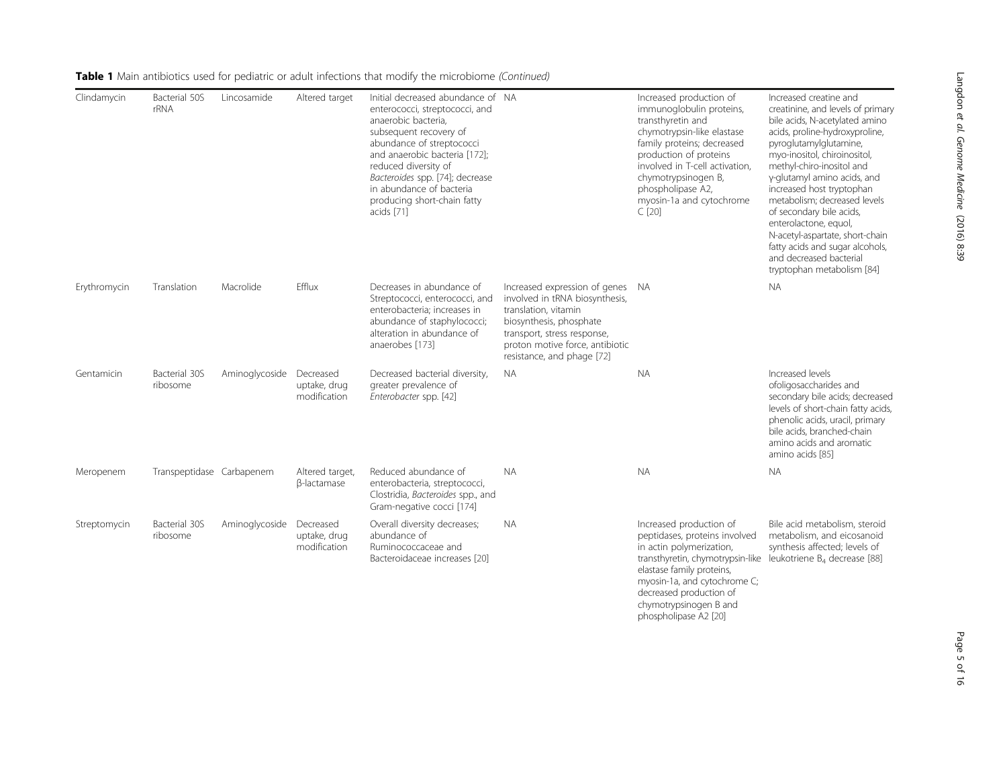| Clindamycin  | Bacterial 50S<br>rRNA     | Lincosamide              | Altered target                            | Initial decreased abundance of NA<br>enterococci, streptococci, and<br>anaerobic bacteria,<br>subsequent recovery of<br>abundance of streptococci<br>and anaerobic bacteria [172];<br>reduced diversity of<br>Bacteroides spp. [74]; decrease<br>in abundance of bacteria<br>producing short-chain fatty<br>acids [71] |                                                                                                                                                                                                                    | Increased production of<br>immunoglobulin proteins,<br>transthyretin and<br>chymotrypsin-like elastase<br>family proteins; decreased<br>production of proteins<br>involved in T-cell activation.<br>chymotrypsinogen B,<br>phospholipase A2,<br>myosin-1a and cytochrome<br>C[20]                            | Increased creatine and<br>creatinine, and levels of primary<br>bile acids, N-acetylated amino<br>acids, proline-hydroxyproline,<br>pyroglutamylglutamine,<br>myo-inositol, chiroinositol,<br>methyl-chiro-inositol and<br>y-glutamyl amino acids, and<br>increased host tryptophan<br>metabolism; decreased levels<br>of secondary bile acids,<br>enterolactone, equol,<br>N-acetyl-aspartate, short-chain<br>fatty acids and sugar alcohols,<br>and decreased bacterial<br>tryptophan metabolism [84] |
|--------------|---------------------------|--------------------------|-------------------------------------------|------------------------------------------------------------------------------------------------------------------------------------------------------------------------------------------------------------------------------------------------------------------------------------------------------------------------|--------------------------------------------------------------------------------------------------------------------------------------------------------------------------------------------------------------------|--------------------------------------------------------------------------------------------------------------------------------------------------------------------------------------------------------------------------------------------------------------------------------------------------------------|--------------------------------------------------------------------------------------------------------------------------------------------------------------------------------------------------------------------------------------------------------------------------------------------------------------------------------------------------------------------------------------------------------------------------------------------------------------------------------------------------------|
| Erythromycin | Translation               | Macrolide                | Efflux                                    | Decreases in abundance of<br>Streptococci, enterococci, and<br>enterobacteria; increases in<br>abundance of staphylococci;<br>alteration in abundance of<br>anaerobes [173]                                                                                                                                            | Increased expression of genes<br>involved in tRNA biosynthesis,<br>translation, vitamin<br>biosynthesis, phosphate<br>transport, stress response,<br>proton motive force, antibiotic<br>resistance, and phage [72] | - NA                                                                                                                                                                                                                                                                                                         | <b>NA</b>                                                                                                                                                                                                                                                                                                                                                                                                                                                                                              |
| Gentamicin   | Bacterial 30S<br>ribosome | Aminoglycoside Decreased | uptake, drug<br>modification              | Decreased bacterial diversity,<br>greater prevalence of<br>Enterobacter spp. [42]                                                                                                                                                                                                                                      | <b>NA</b>                                                                                                                                                                                                          | <b>NA</b>                                                                                                                                                                                                                                                                                                    | Increased levels<br>ofoligosaccharides and<br>secondary bile acids; decreased<br>levels of short-chain fatty acids,<br>phenolic acids, uracil, primary<br>bile acids, branched-chain<br>amino acids and aromatic<br>amino acids [85]                                                                                                                                                                                                                                                                   |
| Meropenem    | Transpeptidase Carbapenem |                          | Altered target,<br><b>ß-lactamase</b>     | Reduced abundance of<br>enterobacteria, streptococci,<br>Clostridia, Bacteroides spp., and<br>Gram-negative cocci [174]                                                                                                                                                                                                | <b>NA</b>                                                                                                                                                                                                          | <b>NA</b>                                                                                                                                                                                                                                                                                                    | <b>NA</b>                                                                                                                                                                                                                                                                                                                                                                                                                                                                                              |
| Streptomycin | Bacterial 30S<br>ribosome | Aminoglycoside           | Decreased<br>uptake, drug<br>modification | Overall diversity decreases;<br>abundance of<br>Ruminococcaceae and<br>Bacteroidaceae increases [20]                                                                                                                                                                                                                   | <b>NA</b>                                                                                                                                                                                                          | Increased production of<br>peptidases, proteins involved<br>in actin polymerization,<br>transthyretin, chymotrypsin-like leukotriene B <sub>4</sub> decrease [88]<br>elastase family proteins,<br>myosin-1a, and cytochrome C;<br>decreased production of<br>chymotrypsinogen B and<br>phospholipase A2 [20] | Bile acid metabolism, steroid<br>metabolism, and eicosanoid<br>synthesis affected; levels of                                                                                                                                                                                                                                                                                                                                                                                                           |

Table 1 Main antibiotics used for pediatric or adult infections that modify the microbiome (Continued)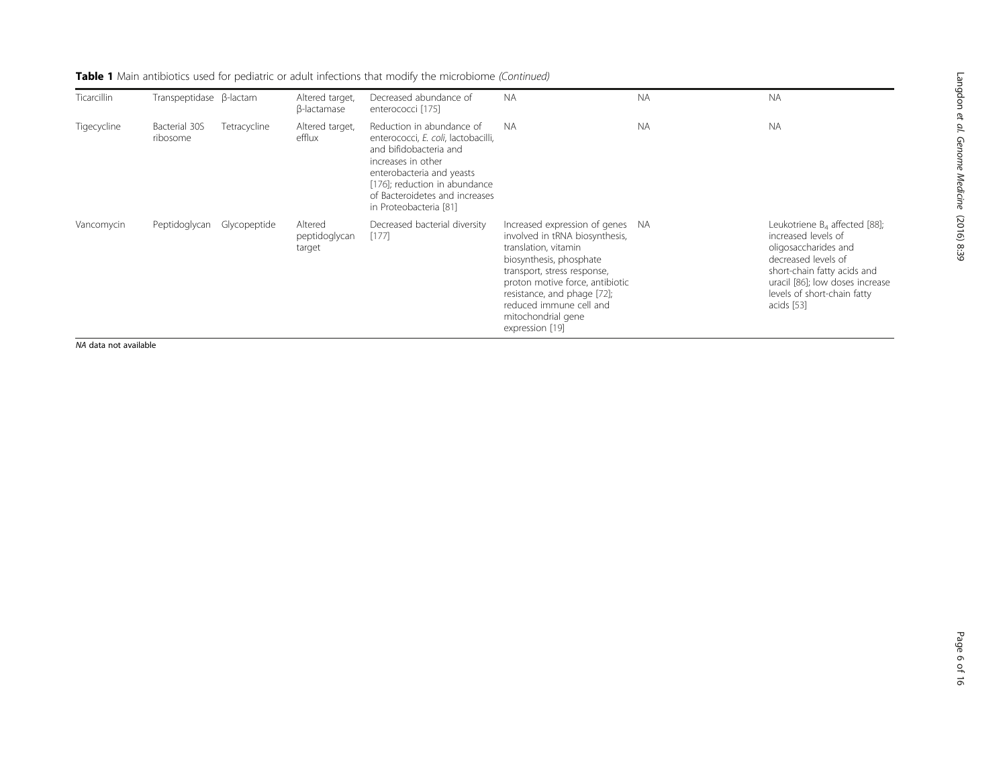| Ticarcillin | Transpeptidase B-lactam   |              | Altered target,<br>β-lactamase     | Decreased abundance of<br>enterococci [175]                                                                                                                                                                                                | <b>NA</b>                                                                                                                                                                                                                                                                                  | <b>NA</b> | <b>NA</b>                                                                                                                                                                                                             |
|-------------|---------------------------|--------------|------------------------------------|--------------------------------------------------------------------------------------------------------------------------------------------------------------------------------------------------------------------------------------------|--------------------------------------------------------------------------------------------------------------------------------------------------------------------------------------------------------------------------------------------------------------------------------------------|-----------|-----------------------------------------------------------------------------------------------------------------------------------------------------------------------------------------------------------------------|
| Tigecycline | Bacterial 30S<br>ribosome | Tetracycline | Altered target,<br>efflux          | Reduction in abundance of<br>enterococci, E. coli, lactobacilli,<br>and bifidobacteria and<br>increases in other<br>enterobacteria and yeasts<br>[176]; reduction in abundance<br>of Bacteroidetes and increases<br>in Proteobacteria [81] | <b>NA</b>                                                                                                                                                                                                                                                                                  | <b>NA</b> | <b>NA</b>                                                                                                                                                                                                             |
| Vancomycin  | Peptidoglycan             | Glycopeptide | Altered<br>peptidoglycan<br>target | Decreased bacterial diversity<br>[177]                                                                                                                                                                                                     | Increased expression of genes NA<br>involved in tRNA biosynthesis,<br>translation, vitamin<br>biosynthesis, phosphate<br>transport, stress response,<br>proton motive force, antibiotic<br>resistance, and phage [72];<br>reduced immune cell and<br>mitochondrial gene<br>expression [19] |           | Leukotriene $B_4$ affected [88];<br>increased levels of<br>oligosaccharides and<br>decreased levels of<br>short-chain fatty acids and<br>uracil [86]; low doses increase<br>levels of short-chain fatty<br>acids [53] |

Table 1 Main antibiotics used for pediatric or adult infections that modify the microbiome (Continued)

NA data not available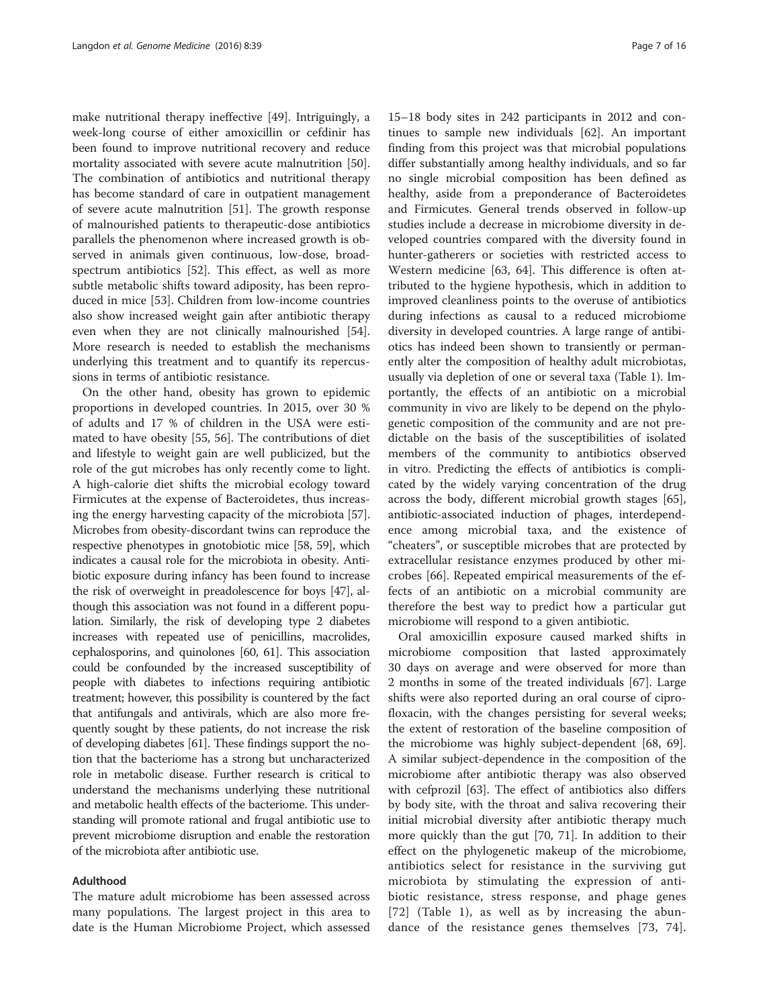make nutritional therapy ineffective [\[49\]](#page-11-0). Intriguingly, a week-long course of either amoxicillin or cefdinir has been found to improve nutritional recovery and reduce mortality associated with severe acute malnutrition [\[50](#page-12-0)]. The combination of antibiotics and nutritional therapy has become standard of care in outpatient management of severe acute malnutrition [\[51](#page-12-0)]. The growth response of malnourished patients to therapeutic-dose antibiotics parallels the phenomenon where increased growth is observed in animals given continuous, low-dose, broadspectrum antibiotics [[52\]](#page-12-0). This effect, as well as more subtle metabolic shifts toward adiposity, has been reproduced in mice [\[53](#page-12-0)]. Children from low-income countries also show increased weight gain after antibiotic therapy even when they are not clinically malnourished [\[54](#page-12-0)]. More research is needed to establish the mechanisms underlying this treatment and to quantify its repercussions in terms of antibiotic resistance.

On the other hand, obesity has grown to epidemic proportions in developed countries. In 2015, over 30 % of adults and 17 % of children in the USA were estimated to have obesity [\[55](#page-12-0), [56](#page-12-0)]. The contributions of diet and lifestyle to weight gain are well publicized, but the role of the gut microbes has only recently come to light. A high-calorie diet shifts the microbial ecology toward Firmicutes at the expense of Bacteroidetes, thus increasing the energy harvesting capacity of the microbiota [[57](#page-12-0)]. Microbes from obesity-discordant twins can reproduce the respective phenotypes in gnotobiotic mice [\[58, 59](#page-12-0)], which indicates a causal role for the microbiota in obesity. Antibiotic exposure during infancy has been found to increase the risk of overweight in preadolescence for boys [\[47\]](#page-11-0), although this association was not found in a different population. Similarly, the risk of developing type 2 diabetes increases with repeated use of penicillins, macrolides, cephalosporins, and quinolones [\[60, 61](#page-12-0)]. This association could be confounded by the increased susceptibility of people with diabetes to infections requiring antibiotic treatment; however, this possibility is countered by the fact that antifungals and antivirals, which are also more frequently sought by these patients, do not increase the risk of developing diabetes [\[61\]](#page-12-0). These findings support the notion that the bacteriome has a strong but uncharacterized role in metabolic disease. Further research is critical to understand the mechanisms underlying these nutritional and metabolic health effects of the bacteriome. This understanding will promote rational and frugal antibiotic use to prevent microbiome disruption and enable the restoration of the microbiota after antibiotic use.

#### Adulthood

The mature adult microbiome has been assessed across many populations. The largest project in this area to date is the Human Microbiome Project, which assessed

15–18 body sites in 242 participants in 2012 and continues to sample new individuals [[62\]](#page-12-0). An important finding from this project was that microbial populations differ substantially among healthy individuals, and so far no single microbial composition has been defined as healthy, aside from a preponderance of Bacteroidetes and Firmicutes. General trends observed in follow-up studies include a decrease in microbiome diversity in developed countries compared with the diversity found in hunter-gatherers or societies with restricted access to Western medicine [[63](#page-12-0), [64\]](#page-12-0). This difference is often attributed to the hygiene hypothesis, which in addition to improved cleanliness points to the overuse of antibiotics during infections as causal to a reduced microbiome diversity in developed countries. A large range of antibiotics has indeed been shown to transiently or permanently alter the composition of healthy adult microbiotas, usually via depletion of one or several taxa (Table [1](#page-3-0)). Importantly, the effects of an antibiotic on a microbial community in vivo are likely to be depend on the phylogenetic composition of the community and are not predictable on the basis of the susceptibilities of isolated members of the community to antibiotics observed in vitro. Predicting the effects of antibiotics is complicated by the widely varying concentration of the drug across the body, different microbial growth stages [\[65](#page-12-0)], antibiotic-associated induction of phages, interdependence among microbial taxa, and the existence of "cheaters", or susceptible microbes that are protected by extracellular resistance enzymes produced by other microbes [[66](#page-12-0)]. Repeated empirical measurements of the effects of an antibiotic on a microbial community are therefore the best way to predict how a particular gut microbiome will respond to a given antibiotic.

Oral amoxicillin exposure caused marked shifts in microbiome composition that lasted approximately 30 days on average and were observed for more than 2 months in some of the treated individuals [[67\]](#page-12-0). Large shifts were also reported during an oral course of ciprofloxacin, with the changes persisting for several weeks; the extent of restoration of the baseline composition of the microbiome was highly subject-dependent [\[68, 69](#page-12-0)]. A similar subject-dependence in the composition of the microbiome after antibiotic therapy was also observed with cefprozil [\[63\]](#page-12-0). The effect of antibiotics also differs by body site, with the throat and saliva recovering their initial microbial diversity after antibiotic therapy much more quickly than the gut [\[70](#page-12-0), [71](#page-12-0)]. In addition to their effect on the phylogenetic makeup of the microbiome, antibiotics select for resistance in the surviving gut microbiota by stimulating the expression of antibiotic resistance, stress response, and phage genes [[72](#page-12-0)] (Table [1](#page-3-0)), as well as by increasing the abundance of the resistance genes themselves [[73](#page-12-0), [74](#page-12-0)].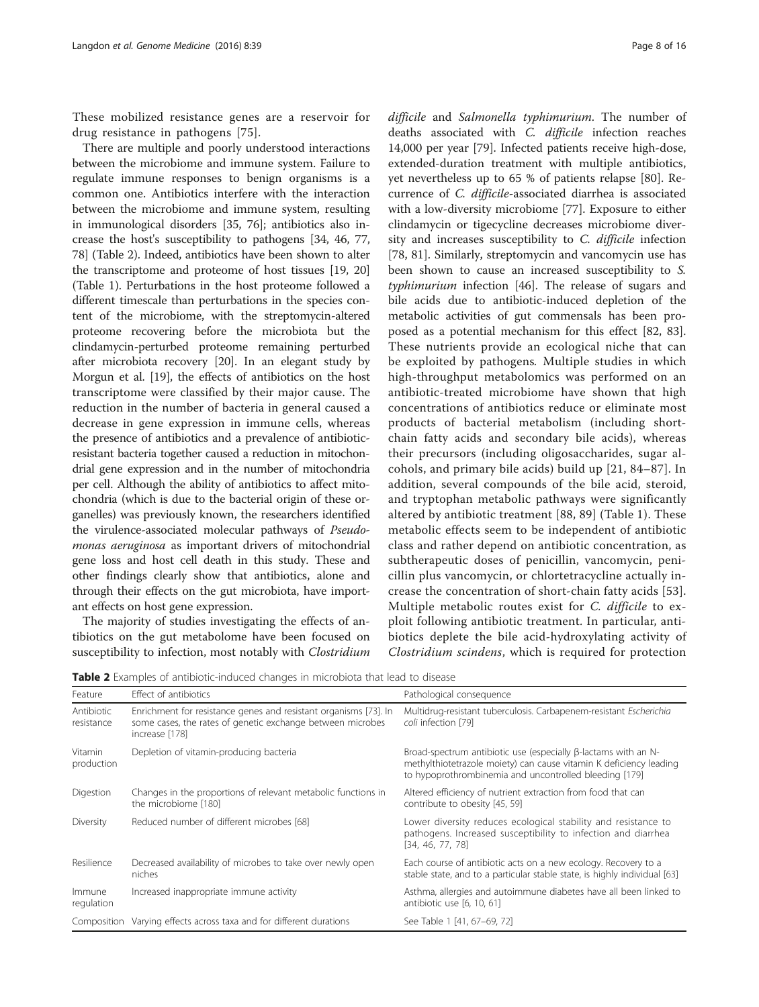These mobilized resistance genes are a reservoir for drug resistance in pathogens [[75](#page-12-0)].

There are multiple and poorly understood interactions between the microbiome and immune system. Failure to regulate immune responses to benign organisms is a common one. Antibiotics interfere with the interaction between the microbiome and immune system, resulting in immunological disorders [[35](#page-11-0), [76\]](#page-12-0); antibiotics also increase the host's susceptibility to pathogens [[34](#page-11-0), [46](#page-11-0), [77](#page-12-0), [78](#page-12-0)] (Table 2). Indeed, antibiotics have been shown to alter the transcriptome and proteome of host tissues [[19, 20](#page-11-0)] (Table [1](#page-3-0)). Perturbations in the host proteome followed a different timescale than perturbations in the species content of the microbiome, with the streptomycin-altered proteome recovering before the microbiota but the clindamycin-perturbed proteome remaining perturbed after microbiota recovery [\[20\]](#page-11-0). In an elegant study by Morgun et al. [[19](#page-11-0)], the effects of antibiotics on the host transcriptome were classified by their major cause. The reduction in the number of bacteria in general caused a decrease in gene expression in immune cells, whereas the presence of antibiotics and a prevalence of antibioticresistant bacteria together caused a reduction in mitochondrial gene expression and in the number of mitochondria per cell. Although the ability of antibiotics to affect mitochondria (which is due to the bacterial origin of these organelles) was previously known, the researchers identified the virulence-associated molecular pathways of Pseudomonas aeruginosa as important drivers of mitochondrial gene loss and host cell death in this study. These and other findings clearly show that antibiotics, alone and through their effects on the gut microbiota, have important effects on host gene expression.

The majority of studies investigating the effects of antibiotics on the gut metabolome have been focused on susceptibility to infection, most notably with Clostridium difficile and Salmonella typhimurium. The number of deaths associated with C. difficile infection reaches 14,000 per year [\[79](#page-12-0)]. Infected patients receive high-dose, extended-duration treatment with multiple antibiotics, yet nevertheless up to 65 % of patients relapse [[80\]](#page-12-0). Recurrence of C. difficile-associated diarrhea is associated with a low-diversity microbiome [\[77](#page-12-0)]. Exposure to either clindamycin or tigecycline decreases microbiome diversity and increases susceptibility to C. difficile infection [[78, 81\]](#page-12-0). Similarly, streptomycin and vancomycin use has been shown to cause an increased susceptibility to S. typhimurium infection [\[46](#page-11-0)]. The release of sugars and bile acids due to antibiotic-induced depletion of the metabolic activities of gut commensals has been proposed as a potential mechanism for this effect [[82](#page-12-0), [83](#page-12-0)]. These nutrients provide an ecological niche that can be exploited by pathogens. Multiple studies in which high-throughput metabolomics was performed on an antibiotic-treated microbiome have shown that high concentrations of antibiotics reduce or eliminate most products of bacterial metabolism (including shortchain fatty acids and secondary bile acids), whereas their precursors (including oligosaccharides, sugar alcohols, and primary bile acids) build up [\[21,](#page-11-0) [84](#page-12-0)–[87](#page-12-0)]. In addition, several compounds of the bile acid, steroid, and tryptophan metabolic pathways were significantly altered by antibiotic treatment [[88, 89\]](#page-12-0) (Table [1](#page-3-0)). These metabolic effects seem to be independent of antibiotic class and rather depend on antibiotic concentration, as subtherapeutic doses of penicillin, vancomycin, penicillin plus vancomycin, or chlortetracycline actually increase the concentration of short-chain fatty acids [[53](#page-12-0)]. Multiple metabolic routes exist for C. difficile to exploit following antibiotic treatment. In particular, antibiotics deplete the bile acid-hydroxylating activity of Clostridium scindens, which is required for protection

**Table 2** Examples of antibiotic-induced changes in microbiota that lead to disease

| Feature                  | Effect of antibiotics                                                                                                                            | Pathological consequence                                                                                                                                                                              |
|--------------------------|--------------------------------------------------------------------------------------------------------------------------------------------------|-------------------------------------------------------------------------------------------------------------------------------------------------------------------------------------------------------|
| Antibiotic<br>resistance | Enrichment for resistance genes and resistant organisms [73]. In<br>some cases, the rates of genetic exchange between microbes<br>increase [178] | Multidrug-resistant tuberculosis. Carbapenem-resistant Escherichia<br>coli infection [79]                                                                                                             |
| Vitamin<br>production    | Depletion of vitamin-producing bacteria                                                                                                          | Broad-spectrum antibiotic use (especially $\beta$ -lactams with an N-<br>methylthiotetrazole moiety) can cause vitamin K deficiency leading<br>to hypoprothrombinemia and uncontrolled bleeding [179] |
| Digestion                | Changes in the proportions of relevant metabolic functions in<br>the microbiome [180]                                                            | Altered efficiency of nutrient extraction from food that can<br>contribute to obesity [45, 59]                                                                                                        |
| Diversity                | Reduced number of different microbes [68]                                                                                                        | Lower diversity reduces ecological stability and resistance to<br>pathogens. Increased susceptibility to infection and diarrhea<br>[34, 46, 77, 78]                                                   |
| Resilience               | Decreased availability of microbes to take over newly open<br>niches                                                                             | Each course of antibiotic acts on a new ecology. Recovery to a<br>stable state, and to a particular stable state, is highly individual [63]                                                           |
| Immune<br>regulation     | Increased inappropriate immune activity                                                                                                          | Asthma, allergies and autoimmune diabetes have all been linked to<br>antibiotic use [6, 10, 61]                                                                                                       |
|                          | Composition Varying effects across taxa and for different durations                                                                              | See Table 1 [41, 67-69, 72]                                                                                                                                                                           |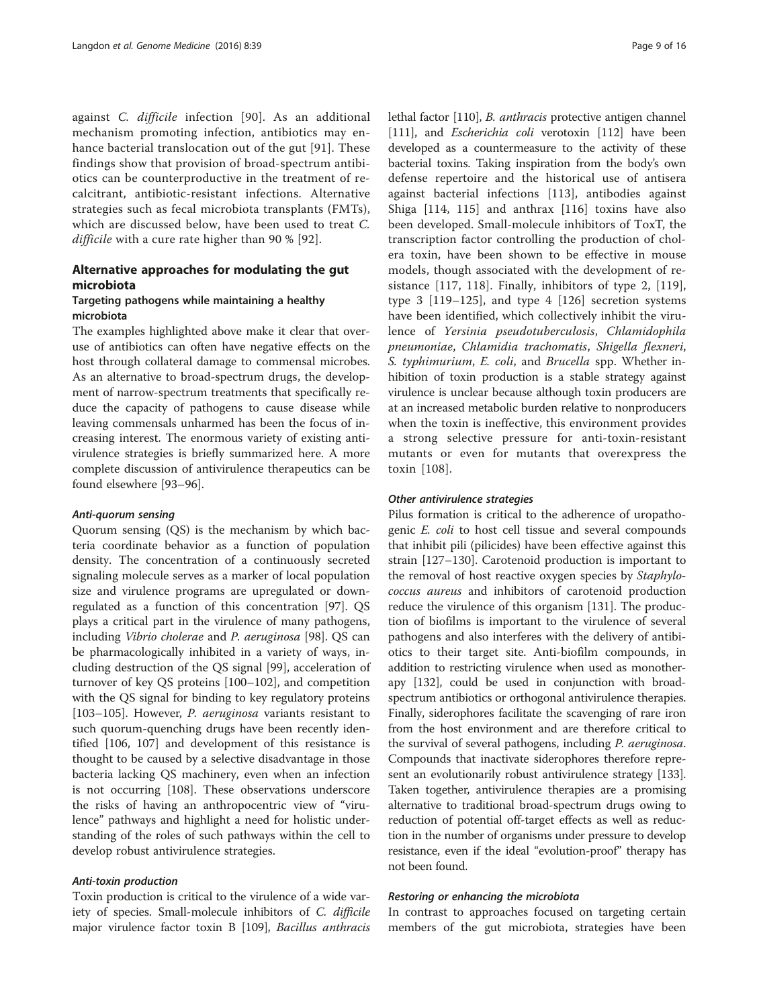against C. difficile infection [[90\]](#page-12-0). As an additional mechanism promoting infection, antibiotics may enhance bacterial translocation out of the gut [[91\]](#page-12-0). These findings show that provision of broad-spectrum antibiotics can be counterproductive in the treatment of recalcitrant, antibiotic-resistant infections. Alternative strategies such as fecal microbiota transplants (FMTs), which are discussed below, have been used to treat C. difficile with a cure rate higher than 90 % [[92](#page-13-0)].

# Alternative approaches for modulating the gut microbiota

## Targeting pathogens while maintaining a healthy microbiota

The examples highlighted above make it clear that overuse of antibiotics can often have negative effects on the host through collateral damage to commensal microbes. As an alternative to broad-spectrum drugs, the development of narrow-spectrum treatments that specifically reduce the capacity of pathogens to cause disease while leaving commensals unharmed has been the focus of increasing interest. The enormous variety of existing antivirulence strategies is briefly summarized here. A more complete discussion of antivirulence therapeutics can be found elsewhere [\[93](#page-13-0)–[96\]](#page-13-0).

### Anti-quorum sensing

Quorum sensing (QS) is the mechanism by which bacteria coordinate behavior as a function of population density. The concentration of a continuously secreted signaling molecule serves as a marker of local population size and virulence programs are upregulated or downregulated as a function of this concentration [[97\]](#page-13-0). QS plays a critical part in the virulence of many pathogens, including Vibrio cholerae and P. aeruginosa [\[98\]](#page-13-0). QS can be pharmacologically inhibited in a variety of ways, including destruction of the QS signal [\[99\]](#page-13-0), acceleration of turnover of key QS proteins [\[100](#page-13-0)–[102](#page-13-0)], and competition with the QS signal for binding to key regulatory proteins [[103](#page-13-0)–[105](#page-13-0)]. However, P. aeruginosa variants resistant to such quorum-quenching drugs have been recently identified [\[106](#page-13-0), [107\]](#page-13-0) and development of this resistance is thought to be caused by a selective disadvantage in those bacteria lacking QS machinery, even when an infection is not occurring [\[108\]](#page-13-0). These observations underscore the risks of having an anthropocentric view of "virulence" pathways and highlight a need for holistic understanding of the roles of such pathways within the cell to develop robust antivirulence strategies.

## Anti-toxin production

Toxin production is critical to the virulence of a wide variety of species. Small-molecule inhibitors of C. difficile major virulence factor toxin B [[109](#page-13-0)], Bacillus anthracis lethal factor [[110](#page-13-0)], B. anthracis protective antigen channel [[111](#page-13-0)], and *Escherichia coli* verotoxin [[112](#page-13-0)] have been developed as a countermeasure to the activity of these bacterial toxins. Taking inspiration from the body's own defense repertoire and the historical use of antisera against bacterial infections [\[113](#page-13-0)], antibodies against Shiga [[114, 115\]](#page-13-0) and anthrax [[116\]](#page-13-0) toxins have also been developed. Small-molecule inhibitors of ToxT, the transcription factor controlling the production of cholera toxin, have been shown to be effective in mouse models, though associated with the development of resistance [[117, 118](#page-13-0)]. Finally, inhibitors of type 2, [\[119](#page-13-0)], type 3  $[119-125]$  $[119-125]$  $[119-125]$  $[119-125]$ , and type 4  $[126]$  $[126]$  secretion systems have been identified, which collectively inhibit the virulence of Yersinia pseudotuberculosis, Chlamidophila pneumoniae, Chlamidia trachomatis, Shigella flexneri, S. typhimurium, E. coli, and Brucella spp. Whether inhibition of toxin production is a stable strategy against virulence is unclear because although toxin producers are at an increased metabolic burden relative to nonproducers when the toxin is ineffective, this environment provides a strong selective pressure for anti-toxin-resistant mutants or even for mutants that overexpress the toxin [[108](#page-13-0)].

### Other antivirulence strategies

Pilus formation is critical to the adherence of uropathogenic E. coli to host cell tissue and several compounds that inhibit pili (pilicides) have been effective against this strain [\[127](#page-13-0)–[130\]](#page-13-0). Carotenoid production is important to the removal of host reactive oxygen species by Staphylococcus aureus and inhibitors of carotenoid production reduce the virulence of this organism [\[131\]](#page-13-0). The production of biofilms is important to the virulence of several pathogens and also interferes with the delivery of antibiotics to their target site. Anti-biofilm compounds, in addition to restricting virulence when used as monotherapy [[132](#page-13-0)], could be used in conjunction with broadspectrum antibiotics or orthogonal antivirulence therapies. Finally, siderophores facilitate the scavenging of rare iron from the host environment and are therefore critical to the survival of several pathogens, including P. aeruginosa. Compounds that inactivate siderophores therefore represent an evolutionarily robust antivirulence strategy [[133](#page-13-0)]. Taken together, antivirulence therapies are a promising alternative to traditional broad-spectrum drugs owing to reduction of potential off-target effects as well as reduction in the number of organisms under pressure to develop resistance, even if the ideal "evolution-proof" therapy has not been found.

#### Restoring or enhancing the microbiota

In contrast to approaches focused on targeting certain members of the gut microbiota, strategies have been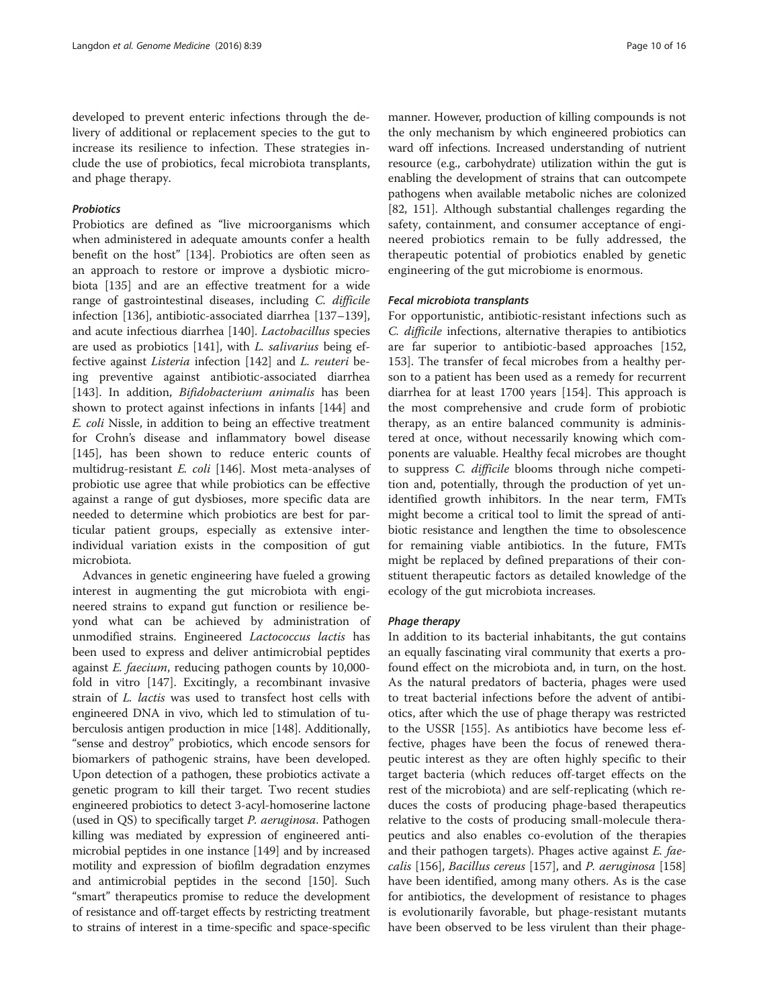developed to prevent enteric infections through the delivery of additional or replacement species to the gut to increase its resilience to infection. These strategies include the use of probiotics, fecal microbiota transplants, and phage therapy.

## **Probiotics**

Probiotics are defined as "live microorganisms which when administered in adequate amounts confer a health benefit on the host" [[134\]](#page-14-0). Probiotics are often seen as an approach to restore or improve a dysbiotic microbiota [\[135](#page-14-0)] and are an effective treatment for a wide range of gastrointestinal diseases, including C. difficile infection [\[136](#page-14-0)], antibiotic-associated diarrhea [[137](#page-14-0)–[139](#page-14-0)], and acute infectious diarrhea [\[140\]](#page-14-0). Lactobacillus species are used as probiotics [[141](#page-14-0)], with L. salivarius being effective against Listeria infection [[142](#page-14-0)] and L. reuteri being preventive against antibiotic-associated diarrhea [[143\]](#page-14-0). In addition, *Bifidobacterium animalis* has been shown to protect against infections in infants [[144\]](#page-14-0) and E. coli Nissle, in addition to being an effective treatment for Crohn's disease and inflammatory bowel disease [[145\]](#page-14-0), has been shown to reduce enteric counts of multidrug-resistant E. coli [\[146](#page-14-0)]. Most meta-analyses of probiotic use agree that while probiotics can be effective against a range of gut dysbioses, more specific data are needed to determine which probiotics are best for particular patient groups, especially as extensive interindividual variation exists in the composition of gut microbiota.

Advances in genetic engineering have fueled a growing interest in augmenting the gut microbiota with engineered strains to expand gut function or resilience beyond what can be achieved by administration of unmodified strains. Engineered Lactococcus lactis has been used to express and deliver antimicrobial peptides against E. faecium, reducing pathogen counts by 10,000 fold in vitro [[147](#page-14-0)]. Excitingly, a recombinant invasive strain of L. lactis was used to transfect host cells with engineered DNA in vivo, which led to stimulation of tuberculosis antigen production in mice [[148](#page-14-0)]. Additionally, "sense and destroy" probiotics, which encode sensors for biomarkers of pathogenic strains, have been developed. Upon detection of a pathogen, these probiotics activate a genetic program to kill their target. Two recent studies engineered probiotics to detect 3-acyl-homoserine lactone (used in QS) to specifically target P. aeruginosa. Pathogen killing was mediated by expression of engineered antimicrobial peptides in one instance [[149](#page-14-0)] and by increased motility and expression of biofilm degradation enzymes and antimicrobial peptides in the second [\[150\]](#page-14-0). Such "smart" therapeutics promise to reduce the development of resistance and off-target effects by restricting treatment to strains of interest in a time-specific and space-specific

manner. However, production of killing compounds is not the only mechanism by which engineered probiotics can ward off infections. Increased understanding of nutrient resource (e.g., carbohydrate) utilization within the gut is enabling the development of strains that can outcompete pathogens when available metabolic niches are colonized [[82](#page-12-0), [151\]](#page-14-0). Although substantial challenges regarding the safety, containment, and consumer acceptance of engineered probiotics remain to be fully addressed, the therapeutic potential of probiotics enabled by genetic engineering of the gut microbiome is enormous.

## Fecal microbiota transplants

For opportunistic, antibiotic-resistant infections such as C. difficile infections, alternative therapies to antibiotics are far superior to antibiotic-based approaches [[152](#page-14-0), [153](#page-14-0)]. The transfer of fecal microbes from a healthy person to a patient has been used as a remedy for recurrent diarrhea for at least 1700 years [\[154\]](#page-14-0). This approach is the most comprehensive and crude form of probiotic therapy, as an entire balanced community is administered at once, without necessarily knowing which components are valuable. Healthy fecal microbes are thought to suppress C. difficile blooms through niche competition and, potentially, through the production of yet unidentified growth inhibitors. In the near term, FMTs might become a critical tool to limit the spread of antibiotic resistance and lengthen the time to obsolescence for remaining viable antibiotics. In the future, FMTs might be replaced by defined preparations of their constituent therapeutic factors as detailed knowledge of the ecology of the gut microbiota increases.

## Phage therapy

In addition to its bacterial inhabitants, the gut contains an equally fascinating viral community that exerts a profound effect on the microbiota and, in turn, on the host. As the natural predators of bacteria, phages were used to treat bacterial infections before the advent of antibiotics, after which the use of phage therapy was restricted to the USSR [[155\]](#page-14-0). As antibiotics have become less effective, phages have been the focus of renewed therapeutic interest as they are often highly specific to their target bacteria (which reduces off-target effects on the rest of the microbiota) and are self-replicating (which reduces the costs of producing phage-based therapeutics relative to the costs of producing small-molecule therapeutics and also enables co-evolution of the therapies and their pathogen targets). Phages active against *E. fae*calis [\[156\]](#page-14-0), Bacillus cereus [[157](#page-14-0)], and P. aeruginosa [[158](#page-14-0)] have been identified, among many others. As is the case for antibiotics, the development of resistance to phages is evolutionarily favorable, but phage-resistant mutants have been observed to be less virulent than their phage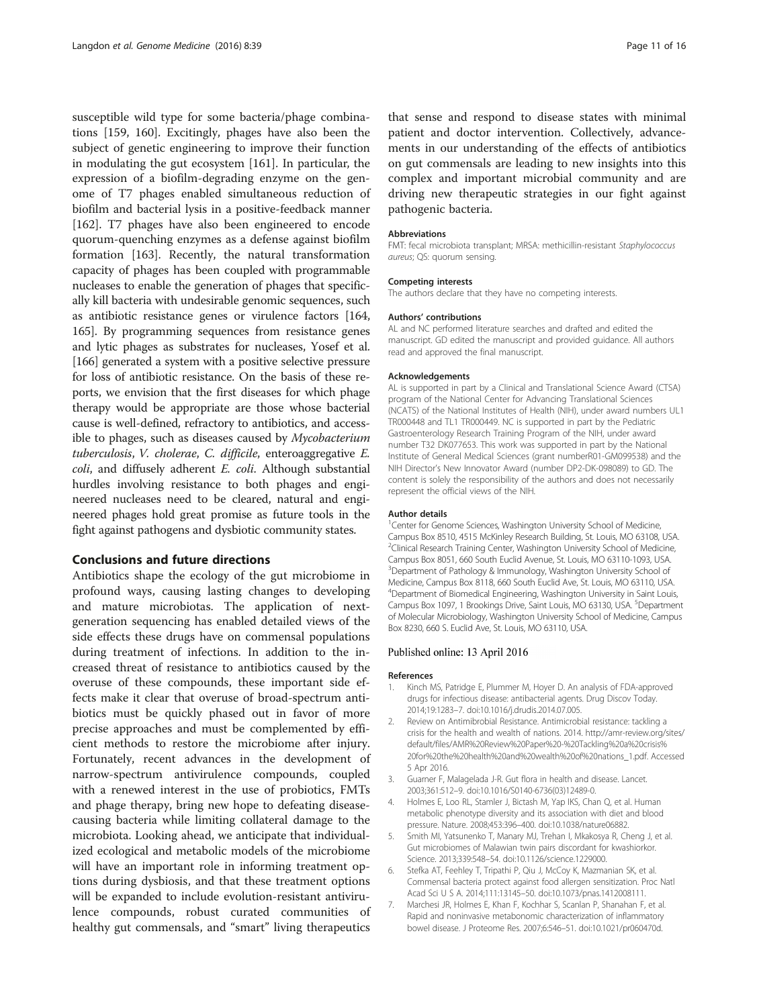<span id="page-10-0"></span>susceptible wild type for some bacteria/phage combinations [[159](#page-14-0), [160\]](#page-14-0). Excitingly, phages have also been the subject of genetic engineering to improve their function in modulating the gut ecosystem [\[161](#page-14-0)]. In particular, the expression of a biofilm-degrading enzyme on the genome of T7 phages enabled simultaneous reduction of biofilm and bacterial lysis in a positive-feedback manner [[162\]](#page-14-0). T7 phages have also been engineered to encode quorum-quenching enzymes as a defense against biofilm formation [\[163](#page-14-0)]. Recently, the natural transformation capacity of phages has been coupled with programmable nucleases to enable the generation of phages that specifically kill bacteria with undesirable genomic sequences, such as antibiotic resistance genes or virulence factors [\[164](#page-14-0), [165](#page-14-0)]. By programming sequences from resistance genes and lytic phages as substrates for nucleases, Yosef et al. [[166](#page-14-0)] generated a system with a positive selective pressure for loss of antibiotic resistance. On the basis of these reports, we envision that the first diseases for which phage therapy would be appropriate are those whose bacterial cause is well-defined, refractory to antibiotics, and accessible to phages, such as diseases caused by Mycobacterium tuberculosis, V. cholerae, C. difficile, enteroaggregative E. coli, and diffusely adherent E. coli. Although substantial hurdles involving resistance to both phages and engineered nucleases need to be cleared, natural and engineered phages hold great promise as future tools in the fight against pathogens and dysbiotic community states.

#### Conclusions and future directions

Antibiotics shape the ecology of the gut microbiome in profound ways, causing lasting changes to developing and mature microbiotas. The application of nextgeneration sequencing has enabled detailed views of the side effects these drugs have on commensal populations during treatment of infections. In addition to the increased threat of resistance to antibiotics caused by the overuse of these compounds, these important side effects make it clear that overuse of broad-spectrum antibiotics must be quickly phased out in favor of more precise approaches and must be complemented by efficient methods to restore the microbiome after injury. Fortunately, recent advances in the development of narrow-spectrum antivirulence compounds, coupled with a renewed interest in the use of probiotics, FMTs and phage therapy, bring new hope to defeating diseasecausing bacteria while limiting collateral damage to the microbiota. Looking ahead, we anticipate that individualized ecological and metabolic models of the microbiome will have an important role in informing treatment options during dysbiosis, and that these treatment options will be expanded to include evolution-resistant antivirulence compounds, robust curated communities of healthy gut commensals, and "smart" living therapeutics

that sense and respond to disease states with minimal patient and doctor intervention. Collectively, advancements in our understanding of the effects of antibiotics on gut commensals are leading to new insights into this complex and important microbial community and are driving new therapeutic strategies in our fight against pathogenic bacteria.

#### Abbreviations

FMT: fecal microbiota transplant; MRSA: methicillin-resistant Staphylococcus aureus; QS: quorum sensing.

#### Competing interests

The authors declare that they have no competing interests.

#### Authors' contributions

AL and NC performed literature searches and drafted and edited the manuscript. GD edited the manuscript and provided guidance. All authors read and approved the final manuscript.

#### Acknowledgements

AL is supported in part by a Clinical and Translational Science Award (CTSA) program of the National Center for Advancing Translational Sciences (NCATS) of the National Institutes of Health (NIH), under award numbers UL1 TR000448 and TL1 TR000449. NC is supported in part by the Pediatric Gastroenterology Research Training Program of the NIH, under award number T32 DK077653. This work was supported in part by the National Institute of General Medical Sciences (grant numberR01-GM099538) and the NIH Director's New Innovator Award (number DP2-DK-098089) to GD. The content is solely the responsibility of the authors and does not necessarily represent the official views of the NIH.

#### Author details

<sup>1</sup> Center for Genome Sciences, Washington University School of Medicine Campus Box 8510, 4515 McKinley Research Building, St. Louis, MO 63108, USA. <sup>2</sup>Clinical Research Training Center, Washington University School of Medicine Campus Box 8051, 660 South Euclid Avenue, St. Louis, MO 63110-1093, USA. <sup>3</sup>Department of Pathology & Immunology, Washington University School of Medicine, Campus Box 8118, 660 South Euclid Ave, St. Louis, MO 63110, USA. 4 Department of Biomedical Engineering, Washington University in Saint Louis, Campus Box 1097, 1 Brookings Drive, Saint Louis, MO 63130, USA. <sup>5</sup>Department of Molecular Microbiology, Washington University School of Medicine, Campus Box 8230, 660 S. Euclid Ave, St. Louis, MO 63110, USA.

#### Published online: 13 April 2016

#### References

- 1. Kinch MS, Patridge E, Plummer M, Hoyer D. An analysis of FDA-approved drugs for infectious disease: antibacterial agents. Drug Discov Today. 2014;19:1283–7. doi:[10.1016/j.drudis.2014.07.005](http://dx.doi.org/10.1016/j.drudis.2014.07.005).
- 2. Review on Antimibrobial Resistance. Antimicrobial resistance: tackling a crisis for the health and wealth of nations. 2014. [http://amr-review.org/sites/](http://amr-review.org/sites/default/files/AMR%20Review%20Paper%20-%20Tackling%20a%20crisis%20for%20the%20health%20and%20wealth%20of%20nations_1.pdf) [default/files/AMR%20Review%20Paper%20-%20Tackling%20a%20crisis%](http://amr-review.org/sites/default/files/AMR%20Review%20Paper%20-%20Tackling%20a%20crisis%20for%20the%20health%20and%20wealth%20of%20nations_1.pdf) [20for%20the%20health%20and%20wealth%20of%20nations\\_1.pdf.](http://amr-review.org/sites/default/files/AMR%20Review%20Paper%20-%20Tackling%20a%20crisis%20for%20the%20health%20and%20wealth%20of%20nations_1.pdf) Accessed 5 Apr 2016.
- 3. Guarner F, Malagelada J-R. Gut flora in health and disease. Lancet. 2003;361:512–9. doi:[10.1016/S0140-6736\(03\)12489-0.](http://dx.doi.org/10.1016/S0140-6736(03)12489-0)
- 4. Holmes E, Loo RL, Stamler J, Bictash M, Yap IKS, Chan Q, et al. Human metabolic phenotype diversity and its association with diet and blood pressure. Nature. 2008;453:396–400. doi[:10.1038/nature06882.](http://dx.doi.org/10.1038/nature06882)
- 5. Smith MI, Yatsunenko T, Manary MJ, Trehan I, Mkakosya R, Cheng J, et al. Gut microbiomes of Malawian twin pairs discordant for kwashiorkor. Science. 2013;339:548–54. doi[:10.1126/science.1229000](http://dx.doi.org/10.1126/science.1229000).
- 6. Stefka AT, Feehley T, Tripathi P, Qiu J, McCoy K, Mazmanian SK, et al. Commensal bacteria protect against food allergen sensitization. Proc Natl Acad Sci U S A. 2014;111:13145–50. doi[:10.1073/pnas.1412008111.](http://dx.doi.org/10.1073/pnas.1412008111)
- 7. Marchesi JR, Holmes E, Khan F, Kochhar S, Scanlan P, Shanahan F, et al. Rapid and noninvasive metabonomic characterization of inflammatory bowel disease. J Proteome Res. 2007;6:546–51. doi:[10.1021/pr060470d](http://dx.doi.org/10.1021/pr060470d).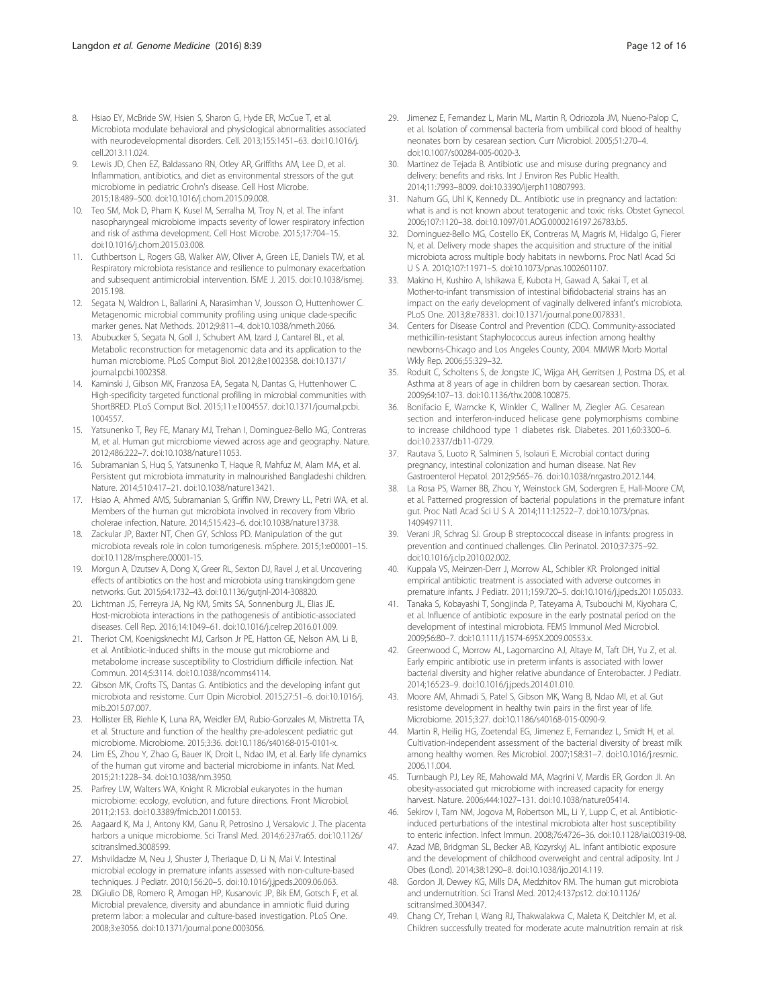- <span id="page-11-0"></span>8. Hsiao EY, McBride SW, Hsien S, Sharon G, Hyde ER, McCue T, et al. Microbiota modulate behavioral and physiological abnormalities associated with neurodevelopmental disorders. Cell. 2013;155:1451–63. doi:[10.1016/j.](http://dx.doi.org/10.1016/j.cell.2013.11.024) [cell.2013.11.024](http://dx.doi.org/10.1016/j.cell.2013.11.024).
- 9. Lewis JD, Chen EZ, Baldassano RN, Otley AR, Griffiths AM, Lee D, et al. Inflammation, antibiotics, and diet as environmental stressors of the gut microbiome in pediatric Crohn's disease. Cell Host Microbe. 2015;18:489–500. doi[:10.1016/j.chom.2015.09.008.](http://dx.doi.org/10.1016/j.chom.2015.09.008)
- 10. Teo SM, Mok D, Pham K, Kusel M, Serralha M, Troy N, et al. The infant nasopharyngeal microbiome impacts severity of lower respiratory infection and risk of asthma development. Cell Host Microbe. 2015;17:704–15. doi[:10.1016/j.chom.2015.03.008.](http://dx.doi.org/10.1016/j.chom.2015.03.008)
- 11. Cuthbertson L, Rogers GB, Walker AW, Oliver A, Green LE, Daniels TW, et al. Respiratory microbiota resistance and resilience to pulmonary exacerbation and subsequent antimicrobial intervention. ISME J. 2015. doi[:10.1038/ismej.](http://dx.doi.org/10.1038/ismej.2015.198) [2015.198.](http://dx.doi.org/10.1038/ismej.2015.198)
- 12. Segata N, Waldron L, Ballarini A, Narasimhan V, Jousson O, Huttenhower C. Metagenomic microbial community profiling using unique clade-specific marker genes. Nat Methods. 2012;9:811–4. doi[:10.1038/nmeth.2066](http://dx.doi.org/10.1038/nmeth.2066).
- 13. Abubucker S, Segata N, Goll J, Schubert AM, Izard J, Cantarel BL, et al. Metabolic reconstruction for metagenomic data and its application to the human microbiome. PLoS Comput Biol. 2012;8:e1002358. doi[:10.1371/](http://dx.doi.org/10.1371/journal.pcbi.1002358) [journal.pcbi.1002358.](http://dx.doi.org/10.1371/journal.pcbi.1002358)
- 14. Kaminski J, Gibson MK, Franzosa EA, Segata N, Dantas G, Huttenhower C. High-specificity targeted functional profiling in microbial communities with ShortBRED. PLoS Comput Biol. 2015;11:e1004557. doi:[10.1371/journal.pcbi.](http://dx.doi.org/10.1371/journal.pcbi.1004557) [1004557.](http://dx.doi.org/10.1371/journal.pcbi.1004557)
- 15. Yatsunenko T, Rey FE, Manary MJ, Trehan I, Dominguez-Bello MG, Contreras M, et al. Human gut microbiome viewed across age and geography. Nature. 2012;486:222–7. doi:[10.1038/nature11053](http://dx.doi.org/10.1038/nature11053).
- 16. Subramanian S, Huq S, Yatsunenko T, Haque R, Mahfuz M, Alam MA, et al. Persistent gut microbiota immaturity in malnourished Bangladeshi children. Nature. 2014;510:417–21. doi:[10.1038/nature13421](http://dx.doi.org/10.1038/nature13421).
- 17. Hsiao A, Ahmed AMS, Subramanian S, Griffin NW, Drewry LL, Petri WA, et al. Members of the human gut microbiota involved in recovery from Vibrio cholerae infection. Nature. 2014;515:423–6. doi:[10.1038/nature13738](http://dx.doi.org/10.1038/nature13738).
- 18. Zackular JP, Baxter NT, Chen GY, Schloss PD. Manipulation of the gut microbiota reveals role in colon tumorigenesis. mSphere. 2015;1:e00001–15. doi[:10.1128/msphere.00001-15](http://dx.doi.org/10.1128/msphere.00001-15).
- 19. Morgun A, Dzutsev A, Dong X, Greer RL, Sexton DJ, Ravel J, et al. Uncovering effects of antibiotics on the host and microbiota using transkingdom gene networks. Gut. 2015;64:1732–43. doi[:10.1136/gutjnl-2014-308820.](http://dx.doi.org/10.1136/gutjnl-2014-308820)
- 20. Lichtman JS, Ferreyra JA, Ng KM, Smits SA, Sonnenburg JL, Elias JE. Host-microbiota interactions in the pathogenesis of antibiotic-associated diseases. Cell Rep. 2016;14:1049–61. doi[:10.1016/j.celrep.2016.01.009.](http://dx.doi.org/10.1016/j.celrep.2016.01.009)
- 21. Theriot CM, Koenigsknecht MJ, Carlson Jr PE, Hatton GE, Nelson AM, Li B, et al. Antibiotic-induced shifts in the mouse gut microbiome and metabolome increase susceptibility to Clostridium difficile infection. Nat Commun. 2014;5:3114. doi:[10.1038/ncomms4114](http://dx.doi.org/10.1038/ncomms4114).
- 22. Gibson MK, Crofts TS, Dantas G. Antibiotics and the developing infant gut microbiota and resistome. Curr Opin Microbiol. 2015;27:51–6. doi[:10.1016/j.](http://dx.doi.org/10.1016/j.mib.2015.07.007) [mib.2015.07.007](http://dx.doi.org/10.1016/j.mib.2015.07.007).
- 23. Hollister EB, Riehle K, Luna RA, Weidler EM, Rubio-Gonzales M, Mistretta TA, et al. Structure and function of the healthy pre-adolescent pediatric gut microbiome. Microbiome. 2015;3:36. doi[:10.1186/s40168-015-0101-x.](http://dx.doi.org/10.1186/s40168-015-0101-x)
- 24. Lim ES, Zhou Y, Zhao G, Bauer IK, Droit L, Ndao IM, et al. Early life dynamics of the human gut virome and bacterial microbiome in infants. Nat Med. 2015;21:1228–34. doi[:10.1038/nm.3950.](http://dx.doi.org/10.1038/nm.3950)
- 25. Parfrey LW, Walters WA, Knight R. Microbial eukaryotes in the human microbiome: ecology, evolution, and future directions. Front Microbiol. 2011;2:153. doi[:10.3389/fmicb.2011.00153](http://dx.doi.org/10.3389/fmicb.2011.00153).
- 26. Aagaard K, Ma J, Antony KM, Ganu R, Petrosino J, Versalovic J. The placenta harbors a unique microbiome. Sci Transl Med. 2014;6:237ra65. doi:[10.1126/](http://dx.doi.org/10.1126/scitranslmed.3008599) [scitranslmed.3008599](http://dx.doi.org/10.1126/scitranslmed.3008599).
- 27. Mshvildadze M, Neu J, Shuster J, Theriaque D, Li N, Mai V. Intestinal microbial ecology in premature infants assessed with non-culture-based techniques. J Pediatr. 2010;156:20–5. doi:[10.1016/j.jpeds.2009.06.063.](http://dx.doi.org/10.1016/j.jpeds.2009.06.063)
- 28. DiGiulio DB, Romero R, Amogan HP, Kusanovic JP, Bik EM, Gotsch F, et al. Microbial prevalence, diversity and abundance in amniotic fluid during preterm labor: a molecular and culture-based investigation. PLoS One. 2008;3:e3056. doi:[10.1371/journal.pone.0003056.](http://dx.doi.org/10.1371/journal.pone.0003056)
- 29. Jimenez E, Fernandez L, Marin ML, Martin R, Odriozola JM, Nueno-Palop C, et al. Isolation of commensal bacteria from umbilical cord blood of healthy neonates born by cesarean section. Curr Microbiol. 2005;51:270–4. doi[:10.1007/s00284-005-0020-3](http://dx.doi.org/10.1007/s00284-005-0020-3).
- 30. Martinez de Tejada B. Antibiotic use and misuse during pregnancy and delivery: benefits and risks. Int J Environ Res Public Health. 2014;11:7993–8009. doi[:10.3390/ijerph110807993](http://dx.doi.org/10.3390/ijerph110807993).
- 31. Nahum GG, Uhl K, Kennedy DL. Antibiotic use in pregnancy and lactation: what is and is not known about teratogenic and toxic risks. Obstet Gynecol. 2006;107:1120–38. doi:[10.1097/01.AOG.0000216197.26783.b5](http://dx.doi.org/10.1097/01.AOG.0000216197.26783.b5).
- 32. Dominguez-Bello MG, Costello EK, Contreras M, Magris M, Hidalgo G, Fierer N, et al. Delivery mode shapes the acquisition and structure of the initial microbiota across multiple body habitats in newborns. Proc Natl Acad Sci U S A. 2010;107:11971–5. doi[:10.1073/pnas.1002601107.](http://dx.doi.org/10.1073/pnas.1002601107)
- 33. Makino H, Kushiro A, Ishikawa E, Kubota H, Gawad A, Sakai T, et al. Mother-to-infant transmission of intestinal bifidobacterial strains has an impact on the early development of vaginally delivered infant's microbiota. PLoS One. 2013;8:e78331. doi:[10.1371/journal.pone.0078331](http://dx.doi.org/10.1371/journal.pone.0078331).
- 34. Centers for Disease Control and Prevention (CDC). Community-associated methicillin-resistant Staphylococcus aureus infection among healthy newborns-Chicago and Los Angeles County, 2004. MMWR Morb Mortal Wkly Rep. 2006;55:329–32.
- 35. Roduit C, Scholtens S, de Jongste JC, Wijga AH, Gerritsen J, Postma DS, et al. Asthma at 8 years of age in children born by caesarean section. Thorax. 2009;64:107–13. doi:[10.1136/thx.2008.100875](http://dx.doi.org/10.1136/thx.2008.100875).
- 36. Bonifacio E, Warncke K, Winkler C, Wallner M, Ziegler AG. Cesarean section and interferon-induced helicase gene polymorphisms combine to increase childhood type 1 diabetes risk. Diabetes. 2011;60:3300–6. doi[:10.2337/db11-0729](http://dx.doi.org/10.2337/db11-0729).
- 37. Rautava S, Luoto R, Salminen S, Isolauri E. Microbial contact during pregnancy, intestinal colonization and human disease. Nat Rev Gastroenterol Hepatol. 2012;9:565–76. doi[:10.1038/nrgastro.2012.144](http://dx.doi.org/10.1038/nrgastro.2012.144).
- 38. La Rosa PS, Warner BB, Zhou Y, Weinstock GM, Sodergren E, Hall-Moore CM, et al. Patterned progression of bacterial populations in the premature infant gut. Proc Natl Acad Sci U S A. 2014;111:12522–7. doi:[10.1073/pnas.](http://dx.doi.org/10.1073/pnas.1409497111) [1409497111.](http://dx.doi.org/10.1073/pnas.1409497111)
- 39. Verani JR, Schrag SJ. Group B streptococcal disease in infants: progress in prevention and continued challenges. Clin Perinatol. 2010;37:375–92. doi[:10.1016/j.clp.2010.02.002.](http://dx.doi.org/10.1016/j.clp.2010.02.002)
- 40. Kuppala VS, Meinzen-Derr J, Morrow AL, Schibler KR. Prolonged initial empirical antibiotic treatment is associated with adverse outcomes in premature infants. J Pediatr. 2011;159:720–5. doi[:10.1016/j.jpeds.2011.05.033.](http://dx.doi.org/10.1016/j.jpeds.2011.05.033)
- 41. Tanaka S, Kobayashi T, Songjinda P, Tateyama A, Tsubouchi M, Kiyohara C, et al. Influence of antibiotic exposure in the early postnatal period on the development of intestinal microbiota. FEMS Immunol Med Microbiol. 2009;56:80–7. doi[:10.1111/j.1574-695X.2009.00553.x.](http://dx.doi.org/10.1111/j.1574-695X.2009.00553.x)
- 42. Greenwood C, Morrow AL, Lagomarcino AJ, Altaye M, Taft DH, Yu Z, et al. Early empiric antibiotic use in preterm infants is associated with lower bacterial diversity and higher relative abundance of Enterobacter. J Pediatr. 2014;165:23–9. doi[:10.1016/j.jpeds.2014.01.010.](http://dx.doi.org/10.1016/j.jpeds.2014.01.010)
- 43. Moore AM, Ahmadi S, Patel S, Gibson MK, Wang B, Ndao MI, et al. Gut resistome development in healthy twin pairs in the first year of life. Microbiome. 2015;3:27. doi[:10.1186/s40168-015-0090-9.](http://dx.doi.org/10.1186/s40168-015-0090-9)
- 44. Martin R, Heilig HG, Zoetendal EG, Jimenez E, Fernandez L, Smidt H, et al. Cultivation-independent assessment of the bacterial diversity of breast milk among healthy women. Res Microbiol. 2007;158:31–7. doi:[10.1016/j.resmic.](http://dx.doi.org/10.1016/j.resmic.2006.11.004) [2006.11.004.](http://dx.doi.org/10.1016/j.resmic.2006.11.004)
- 45. Turnbaugh PJ, Ley RE, Mahowald MA, Magrini V, Mardis ER, Gordon JI. An obesity-associated gut microbiome with increased capacity for energy harvest. Nature. 2006;444:1027–131. doi[:10.1038/nature05414.](http://dx.doi.org/10.1038/nature05414)
- 46. Sekirov I, Tam NM, Jogova M, Robertson ML, Li Y, Lupp C, et al. Antibioticinduced perturbations of the intestinal microbiota alter host susceptibility to enteric infection. Infect Immun. 2008;76:4726–36. doi:[10.1128/iai.00319-08](http://dx.doi.org/10.1128/iai.00319-08).
- 47. Azad MB, Bridgman SL, Becker AB, Kozyrskyj AL. Infant antibiotic exposure and the development of childhood overweight and central adiposity. Int J Obes (Lond). 2014;38:1290–8. doi[:10.1038/ijo.2014.119](http://dx.doi.org/10.1038/ijo.2014.119).
- 48. Gordon JI, Dewey KG, Mills DA, Medzhitov RM. The human gut microbiota and undernutrition. Sci Transl Med. 2012;4:137ps12. doi[:10.1126/](http://dx.doi.org/10.1126/scitranslmed.3004347) [scitranslmed.3004347](http://dx.doi.org/10.1126/scitranslmed.3004347).
- 49. Chang CY, Trehan I, Wang RJ, Thakwalakwa C, Maleta K, Deitchler M, et al. Children successfully treated for moderate acute malnutrition remain at risk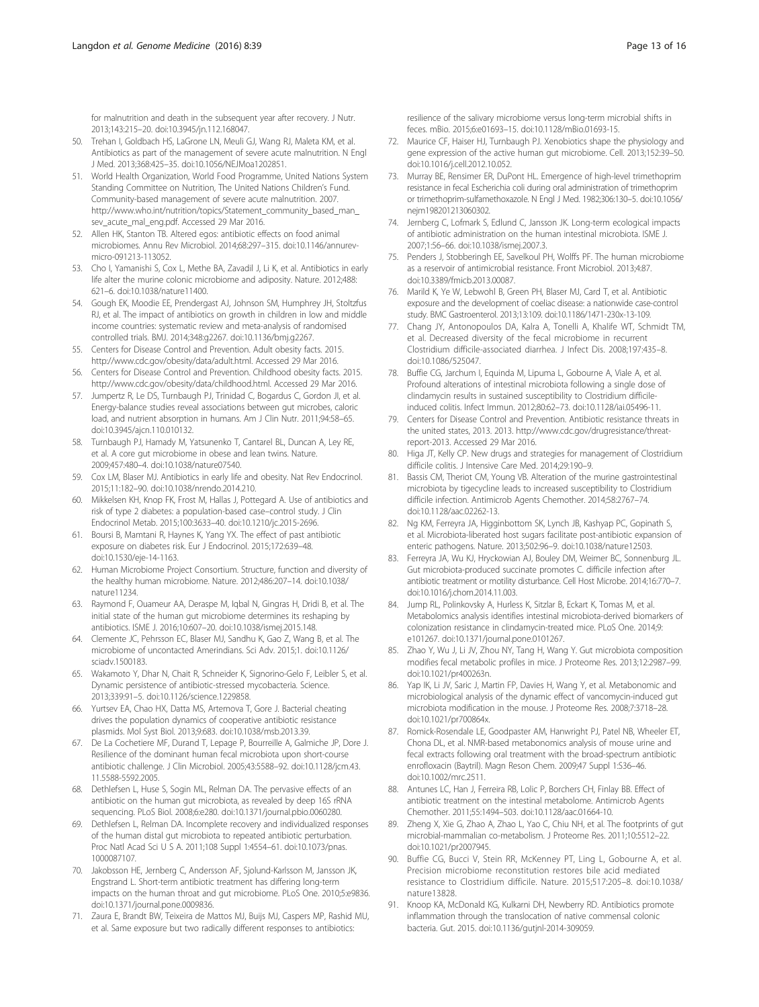<span id="page-12-0"></span>for malnutrition and death in the subsequent year after recovery. J Nutr. 2013;143:215–20. doi[:10.3945/jn.112.168047.](http://dx.doi.org/10.3945/jn.112.168047)

- 50. Trehan I, Goldbach HS, LaGrone LN, Meuli GJ, Wang RJ, Maleta KM, et al. Antibiotics as part of the management of severe acute malnutrition. N Engl J Med. 2013;368:425–35. doi:[10.1056/NEJMoa1202851.](http://dx.doi.org/10.1056/NEJMoa1202851)
- 51. World Health Organization, World Food Programme, United Nations System Standing Committee on Nutrition, The United Nations Children's Fund. Community-based management of severe acute malnutrition. 2007. http://www.who.int/nutrition/topics/Statement\_community\_based\_man [sev\\_acute\\_mal\\_eng.pdf](http://www.who.int/nutrition/topics/Statement_community_based_man_sev_acute_mal_eng.pdf). Accessed 29 Mar 2016.
- 52. Allen HK, Stanton TB. Altered egos: antibiotic effects on food animal microbiomes. Annu Rev Microbiol. 2014;68:297–315. doi[:10.1146/annurev](http://dx.doi.org/10.1146/annurev-micro-091213-113052)[micro-091213-113052](http://dx.doi.org/10.1146/annurev-micro-091213-113052).
- 53. Cho I, Yamanishi S, Cox L, Methe BA, Zavadil J, Li K, et al. Antibiotics in early life alter the murine colonic microbiome and adiposity. Nature. 2012;488: 621–6. doi:[10.1038/nature11400](http://dx.doi.org/10.1038/nature11400).
- 54. Gough EK, Moodie EE, Prendergast AJ, Johnson SM, Humphrey JH, Stoltzfus RJ, et al. The impact of antibiotics on growth in children in low and middle income countries: systematic review and meta-analysis of randomised controlled trials. BMJ. 2014;348:g2267. doi[:10.1136/bmj.g2267](http://dx.doi.org/10.1136/bmj.g2267).
- 55. Centers for Disease Control and Prevention. Adult obesity facts. 2015. <http://www.cdc.gov/obesity/data/adult.html>. Accessed 29 Mar 2016.
- 56. Centers for Disease Control and Prevention. Childhood obesity facts. 2015. [http://www.cdc.gov/obesity/data/childhood.html.](http://www.cdc.gov/obesity/data/childhood.html) Accessed 29 Mar 2016.
- 57. Jumpertz R, Le DS, Turnbaugh PJ, Trinidad C, Bogardus C, Gordon JI, et al. Energy-balance studies reveal associations between gut microbes, caloric load, and nutrient absorption in humans. Am J Clin Nutr. 2011;94:58–65. doi[:10.3945/ajcn.110.010132.](http://dx.doi.org/10.3945/ajcn.110.010132)
- 58. Turnbaugh PJ, Hamady M, Yatsunenko T, Cantarel BL, Duncan A, Ley RE, et al. A core gut microbiome in obese and lean twins. Nature. 2009;457:480–4. doi:[10.1038/nature07540](http://dx.doi.org/10.1038/nature07540).
- 59. Cox LM, Blaser MJ. Antibiotics in early life and obesity. Nat Rev Endocrinol. 2015;11:182–90. doi:[10.1038/nrendo.2014.210.](http://dx.doi.org/10.1038/nrendo.2014.210)
- 60. Mikkelsen KH, Knop FK, Frost M, Hallas J, Pottegard A. Use of antibiotics and risk of type 2 diabetes: a population-based case–control study. J Clin Endocrinol Metab. 2015;100:3633–40. doi:[10.1210/jc.2015-2696.](http://dx.doi.org/10.1210/jc.2015-2696)
- 61. Boursi B, Mamtani R, Haynes K, Yang YX. The effect of past antibiotic exposure on diabetes risk. Eur J Endocrinol. 2015;172:639–48. doi[:10.1530/eje-14-1163](http://dx.doi.org/10.1530/eje-14-1163).
- 62. Human Microbiome Project Consortium. Structure, function and diversity of the healthy human microbiome. Nature. 2012;486:207–14. doi[:10.1038/](http://dx.doi.org/10.1038/nature11234) [nature11234](http://dx.doi.org/10.1038/nature11234).
- 63. Raymond F, Ouameur AA, Deraspe M, Iqbal N, Gingras H, Dridi B, et al. The initial state of the human gut microbiome determines its reshaping by antibiotics. ISME J. 2016;10:607–20. doi:[10.1038/ismej.2015.148.](http://dx.doi.org/10.1038/ismej.2015.148)
- 64. Clemente JC, Pehrsson EC, Blaser MJ, Sandhu K, Gao Z, Wang B, et al. The microbiome of uncontacted Amerindians. Sci Adv. 2015;1. doi:[10.1126/](http://dx.doi.org/10.1126/sciadv.1500183) [sciadv.1500183](http://dx.doi.org/10.1126/sciadv.1500183).
- 65. Wakamoto Y, Dhar N, Chait R, Schneider K, Signorino-Gelo F, Leibler S, et al. Dynamic persistence of antibiotic-stressed mycobacteria. Science. 2013;339:91–5. doi[:10.1126/science.1229858](http://dx.doi.org/10.1126/science.1229858).
- 66. Yurtsev EA, Chao HX, Datta MS, Artemova T, Gore J. Bacterial cheating drives the population dynamics of cooperative antibiotic resistance plasmids. Mol Syst Biol. 2013;9:683. doi:[10.1038/msb.2013.39](http://dx.doi.org/10.1038/msb.2013.39).
- 67. De La Cochetiere MF, Durand T, Lepage P, Bourreille A, Galmiche JP, Dore J. Resilience of the dominant human fecal microbiota upon short-course antibiotic challenge. J Clin Microbiol. 2005;43:5588–92. doi[:10.1128/jcm.43.](http://dx.doi.org/10.1128/jcm.43.11.5588-5592.2005) [11.5588-5592.2005.](http://dx.doi.org/10.1128/jcm.43.11.5588-5592.2005)
- 68. Dethlefsen L, Huse S, Sogin ML, Relman DA. The pervasive effects of an antibiotic on the human gut microbiota, as revealed by deep 16S rRNA sequencing. PLoS Biol. 2008;6:e280. doi[:10.1371/journal.pbio.0060280](http://dx.doi.org/10.1371/journal.pbio.0060280).
- 69. Dethlefsen L, Relman DA. Incomplete recovery and individualized responses of the human distal gut microbiota to repeated antibiotic perturbation. Proc Natl Acad Sci U S A. 2011;108 Suppl 1:4554–61. doi:[10.1073/pnas.](http://dx.doi.org/10.1073/pnas.1000087107) [1000087107.](http://dx.doi.org/10.1073/pnas.1000087107)
- 70. Jakobsson HE, Jernberg C, Andersson AF, Sjolund-Karlsson M, Jansson JK, Engstrand L. Short-term antibiotic treatment has differing long-term impacts on the human throat and gut microbiome. PLoS One. 2010;5:e9836. doi[:10.1371/journal.pone.0009836.](http://dx.doi.org/10.1371/journal.pone.0009836)
- 71. Zaura E, Brandt BW, Teixeira de Mattos MJ, Buijs MJ, Caspers MP, Rashid MU, et al. Same exposure but two radically different responses to antibiotics:

resilience of the salivary microbiome versus long-term microbial shifts in feces. mBio. 2015;6:e01693–15. doi[:10.1128/mBio.01693-15](http://dx.doi.org/10.1128/mBio.01693-15).

- 72. Maurice CF, Haiser HJ, Turnbaugh PJ. Xenobiotics shape the physiology and gene expression of the active human gut microbiome. Cell. 2013;152:39–50. doi[:10.1016/j.cell.2012.10.052.](http://dx.doi.org/10.1016/j.cell.2012.10.052)
- 73. Murray BE, Rensimer ER, DuPont HL. Emergence of high-level trimethoprim resistance in fecal Escherichia coli during oral administration of trimethoprim or trimethoprim-sulfamethoxazole. N Engl J Med. 1982;306:130–5. doi[:10.1056/](http://dx.doi.org/10.1056/nejm198201213060302) [nejm198201213060302.](http://dx.doi.org/10.1056/nejm198201213060302)
- 74. Jernberg C, Lofmark S, Edlund C, Jansson JK. Long-term ecological impacts of antibiotic administration on the human intestinal microbiota. ISME J. 2007;1:56–66. doi[:10.1038/ismej.2007.3](http://dx.doi.org/10.1038/ismej.2007.3).
- 75. Penders J, Stobberingh EE, Savelkoul PH, Wolffs PF. The human microbiome as a reservoir of antimicrobial resistance. Front Microbiol. 2013;4:87. doi[:10.3389/fmicb.2013.00087](http://dx.doi.org/10.3389/fmicb.2013.00087).
- 76. Marild K, Ye W, Lebwohl B, Green PH, Blaser MJ, Card T, et al. Antibiotic exposure and the development of coeliac disease: a nationwide case-control study. BMC Gastroenterol. 2013;13:109. doi:[10.1186/1471-230x-13-109.](http://dx.doi.org/10.1186/1471-230x-13-109)
- 77. Chang JY, Antonopoulos DA, Kalra A, Tonelli A, Khalife WT, Schmidt TM, et al. Decreased diversity of the fecal microbiome in recurrent Clostridium difficile-associated diarrhea. J Infect Dis. 2008;197:435–8. doi[:10.1086/525047](http://dx.doi.org/10.1086/525047).
- 78. Buffie CG, Jarchum I, Equinda M, Lipuma L, Gobourne A, Viale A, et al. Profound alterations of intestinal microbiota following a single dose of clindamycin results in sustained susceptibility to Clostridium difficileinduced colitis. Infect Immun. 2012;80:62–73. doi:[10.1128/iai.05496-11](http://dx.doi.org/10.1128/iai.05496-11).
- 79. Centers for Disease Control and Prevention. Antibiotic resistance threats in the united states, 2013. 2013. [http://www.cdc.gov/drugresistance/threat](http://www.cdc.gov/drugresistance/threat-report-2013)[report-2013.](http://www.cdc.gov/drugresistance/threat-report-2013) Accessed 29 Mar 2016.
- 80. Higa JT, Kelly CP. New drugs and strategies for management of Clostridium difficile colitis. J Intensive Care Med. 2014;29:190–9.
- 81. Bassis CM, Theriot CM, Young VB. Alteration of the murine gastrointestinal microbiota by tigecycline leads to increased susceptibility to Clostridium difficile infection. Antimicrob Agents Chemother. 2014;58:2767–74. doi[:10.1128/aac.02262-13.](http://dx.doi.org/10.1128/aac.02262-13)
- 82. Ng KM, Ferreyra JA, Higginbottom SK, Lynch JB, Kashyap PC, Gopinath S, et al. Microbiota-liberated host sugars facilitate post-antibiotic expansion of enteric pathogens. Nature. 2013;502:96–9. doi[:10.1038/nature12503.](http://dx.doi.org/10.1038/nature12503)
- 83. Ferreyra JA, Wu KJ, Hryckowian AJ, Bouley DM, Weimer BC, Sonnenburg JL. Gut microbiota-produced succinate promotes C. difficile infection after antibiotic treatment or motility disturbance. Cell Host Microbe. 2014;16:770–7. doi:[10.1016/j.chom.2014.11.003.](http://dx.doi.org/10.1016/j.chom.2014.11.003)
- 84. Jump RL, Polinkovsky A, Hurless K, Sitzlar B, Eckart K, Tomas M, et al. Metabolomics analysis identifies intestinal microbiota-derived biomarkers of colonization resistance in clindamycin-treated mice. PLoS One. 2014;9: e101267. doi[:10.1371/journal.pone.0101267.](http://dx.doi.org/10.1371/journal.pone.0101267)
- 85. Zhao Y, Wu J, Li JV, Zhou NY, Tang H, Wang Y. Gut microbiota composition modifies fecal metabolic profiles in mice. J Proteome Res. 2013;12:2987–99. doi[:10.1021/pr400263n](http://dx.doi.org/10.1021/pr400263n).
- 86. Yap IK, Li JV, Saric J, Martin FP, Davies H, Wang Y, et al. Metabonomic and microbiological analysis of the dynamic effect of vancomycin-induced gut microbiota modification in the mouse. J Proteome Res. 2008;7:3718–28. doi[:10.1021/pr700864x.](http://dx.doi.org/10.1021/pr700864x)
- 87. Romick-Rosendale LE, Goodpaster AM, Hanwright PJ, Patel NB, Wheeler ET, Chona DL, et al. NMR-based metabonomics analysis of mouse urine and fecal extracts following oral treatment with the broad-spectrum antibiotic enrofloxacin (Baytril). Magn Reson Chem. 2009;47 Suppl 1:S36–46. doi[:10.1002/mrc.2511.](http://dx.doi.org/10.1002/mrc.2511)
- 88. Antunes LC, Han J, Ferreira RB, Lolic P, Borchers CH, Finlay BB. Effect of antibiotic treatment on the intestinal metabolome. Antimicrob Agents Chemother. 2011;55:1494–503. doi[:10.1128/aac.01664-10.](http://dx.doi.org/10.1128/aac.01664-10)
- 89. Zheng X, Xie G, Zhao A, Zhao L, Yao C, Chiu NH, et al. The footprints of gut microbial-mammalian co-metabolism. J Proteome Res. 2011;10:5512–22. doi[:10.1021/pr2007945.](http://dx.doi.org/10.1021/pr2007945)
- 90. Buffie CG, Bucci V, Stein RR, McKenney PT, Ling L, Gobourne A, et al. Precision microbiome reconstitution restores bile acid mediated resistance to Clostridium difficile. Nature. 2015;517:205–8. doi:[10.1038/](http://dx.doi.org/10.1038/nature13828) [nature13828](http://dx.doi.org/10.1038/nature13828).
- 91. Knoop KA, McDonald KG, Kulkarni DH, Newberry RD. Antibiotics promote inflammation through the translocation of native commensal colonic bacteria. Gut. 2015. doi[:10.1136/gutjnl-2014-309059](http://dx.doi.org/10.1136/gutjnl-2014-309059).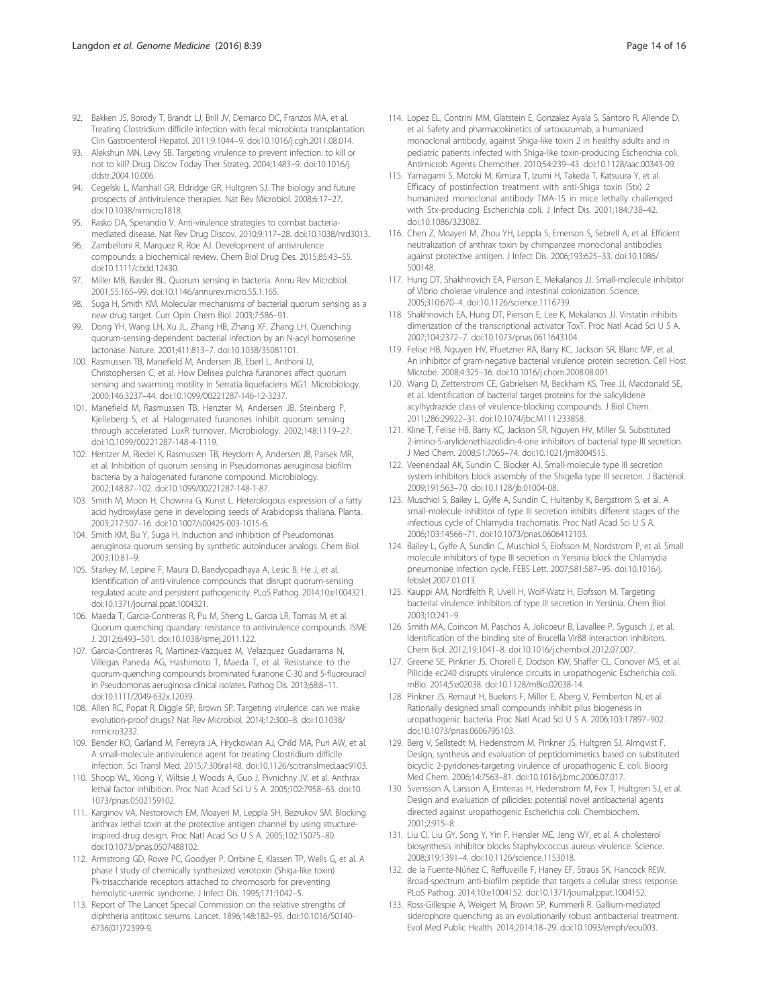- <span id="page-13-0"></span>92. Bakken JS, Borody T, Brandt LJ, Brill JV, Demarco DC, Franzos MA, et al. Treating Clostridium difficile infection with fecal microbiota transplantation. Clin Gastroenterol Hepatol. 2011;9:1044–9. doi[:10.1016/j.cgh.2011.08.014](http://dx.doi.org/10.1016/j.cgh.2011.08.014).
- 93. Alekshun MN, Levy SB. Targeting virulence to prevent infection: to kill or not to kill? Drug Discov Today Ther Strateg. 2004;1:483–9. doi:[10.1016/j.](http://dx.doi.org/10.1016/j.ddstr.2004.10.006) [ddstr.2004.10.006.](http://dx.doi.org/10.1016/j.ddstr.2004.10.006)
- 94. Cegelski L, Marshall GR, Eldridge GR, Hultgren SJ. The biology and future prospects of antivirulence therapies. Nat Rev Microbiol. 2008;6:17–27. doi[:10.1038/nrmicro1818.](http://dx.doi.org/10.1038/nrmicro1818)
- 95. Rasko DA, Sperandio V. Anti-virulence strategies to combat bacteriamediated disease. Nat Rev Drug Discov. 2010;9:117–28. doi[:10.1038/nrd3013.](http://dx.doi.org/10.1038/nrd3013)
- 96. Zambelloni R, Marquez R, Roe AJ. Development of antivirulence compounds: a biochemical review. Chem Biol Drug Des. 2015;85:43–55. doi[:10.1111/cbdd.12430](http://dx.doi.org/10.1111/cbdd.12430).
- 97. Miller MB, Bassler BL. Quorum sensing in bacteria. Annu Rev Microbiol. 2001;55:165–99. doi:[10.1146/annurev.micro.55.1.165.](http://dx.doi.org/10.1146/annurev.micro.55.1.165)
- 98. Suga H, Smith KM. Molecular mechanisms of bacterial quorum sensing as a new drug target. Curr Opin Chem Biol. 2003;7:586–91.
- 99. Dong YH, Wang LH, Xu JL, Zhang HB, Zhang XF, Zhang LH. Quenching quorum-sensing-dependent bacterial infection by an N-acyl homoserine lactonase. Nature. 2001;411:813–7. doi[:10.1038/35081101.](http://dx.doi.org/10.1038/35081101)
- 100. Rasmussen TB, Manefield M, Andersen JB, Eberl L, Anthoni U, Christophersen C, et al. How Delisea pulchra furanones affect quorum sensing and swarming motility in Serratia liquefaciens MG1. Microbiology. 2000;146:3237–44. doi:[10.1099/00221287-146-12-3237.](http://dx.doi.org/10.1099/00221287-146-12-3237)
- 101. Manefield M, Rasmussen TB, Henzter M, Andersen JB, Steinberg P, Kjelleberg S, et al. Halogenated furanones inhibit quorum sensing through accelerated LuxR turnover. Microbiology. 2002;148:1119–27. doi[:10.1099/00221287-148-4-1119.](http://dx.doi.org/10.1099/00221287-148-4-1119)
- 102. Hentzer M, Riedel K, Rasmussen TB, Heydorn A, Andersen JB, Parsek MR, et al. Inhibition of quorum sensing in Pseudomonas aeruginosa biofilm bacteria by a halogenated furanone compound. Microbiology. 2002;148:87–102. doi[:10.1099/00221287-148-1-87](http://dx.doi.org/10.1099/00221287-148-1-87).
- 103. Smith M, Moon H, Chowrira G, Kunst L. Heterologous expression of a fatty acid hydroxylase gene in developing seeds of Arabidopsis thaliana. Planta. 2003;217:507–16. doi[:10.1007/s00425-003-1015-6.](http://dx.doi.org/10.1007/s00425-003-1015-6)
- 104. Smith KM, Bu Y, Suga H. Induction and inhibition of Pseudomonas aeruginosa quorum sensing by synthetic autoinducer analogs. Chem Biol. 2003;10:81–9.
- 105. Starkey M, Lepine F, Maura D, Bandyopadhaya A, Lesic B, He J, et al. Identification of anti-virulence compounds that disrupt quorum-sensing regulated acute and persistent pathogenicity. PLoS Pathog. 2014;10:e1004321. doi:[10.1371/journal.ppat.1004321](http://dx.doi.org/10.1371/journal.ppat.1004321).
- 106. Maeda T, Garcia-Contreras R, Pu M, Sheng L, Garcia LR, Tomas M, et al. Quorum quenching quandary: resistance to antivirulence compounds. ISME J. 2012;6:493–501. doi:[10.1038/ismej.2011.122.](http://dx.doi.org/10.1038/ismej.2011.122)
- 107. Garcia-Contreras R, Martinez-Vazquez M, Velazquez Guadarrama N, Villegas Paneda AG, Hashimoto T, Maeda T, et al. Resistance to the quorum-quenching compounds brominated furanone C-30 and 5-fluorouracil in Pseudomonas aeruginosa clinical isolates. Pathog Dis. 2013;68:8–11. doi:[10.1111/2049-632x.12039.](http://dx.doi.org/10.1111/2049-632x.12039)
- 108. Allen RC, Popat R, Diggle SP, Brown SP. Targeting virulence: can we make evolution-proof drugs? Nat Rev Microbiol. 2014;12:300–8. doi:[10.1038/](http://dx.doi.org/10.1038/nrmicro3232) [nrmicro3232](http://dx.doi.org/10.1038/nrmicro3232).
- 109. Bender KO, Garland M, Ferreyra JA, Hryckowian AJ, Child MA, Puri AW, et al. A small-molecule antivirulence agent for treating Clostridium difficile infection. Sci Transl Med. 2015;7:306ra148. doi[:10.1126/scitranslmed.aac9103](http://dx.doi.org/10.1126/scitranslmed.aac9103).
- 110. Shoop WL, Xiong Y, Wiltsie J, Woods A, Guo J, Pivnichny JV, et al. Anthrax lethal factor inhibition. Proc Natl Acad Sci U S A. 2005;102:7958–63. doi[:10.](http://dx.doi.org/10.1073/pnas.0502159102) [1073/pnas.0502159102.](http://dx.doi.org/10.1073/pnas.0502159102)
- 111. Karginov VA, Nestorovich EM, Moayeri M, Leppla SH, Bezrukov SM. Blocking anthrax lethal toxin at the protective antigen channel by using structureinspired drug design. Proc Natl Acad Sci U S A. 2005;102:15075–80. doi[:10.1073/pnas.0507488102.](http://dx.doi.org/10.1073/pnas.0507488102)
- 112. Armstrong GD, Rowe PC, Goodyer P, Orrbine E, Klassen TP, Wells G, et al. A phase I study of chemically synthesized verotoxin (Shiga-like toxin) Pk-trisaccharide receptors attached to chromosorb for preventing hemolytic-uremic syndrome. J Infect Dis. 1995;171:1042–5.
- 113. Report of The Lancet Special Commission on the relative strengths of diphtheria antitoxic serums. Lancet. 1896;148:182–95. doi[:10.1016/S0140-](http://dx.doi.org/10.1016/S0140-6736(01)72399-9) [6736\(01\)72399-9](http://dx.doi.org/10.1016/S0140-6736(01)72399-9).
- 114. Lopez EL, Contrini MM, Glatstein E, Gonzalez Ayala S, Santoro R, Allende D, et al. Safety and pharmacokinetics of urtoxazumab, a humanized monoclonal antibody, against Shiga-like toxin 2 in healthy adults and in pediatric patients infected with Shiga-like toxin-producing Escherichia coli. Antimicrob Agents Chemother. 2010;54:239–43. doi[:10.1128/aac.00343-09](http://dx.doi.org/10.1128/aac.00343-09).
- 115. Yamagami S, Motoki M, Kimura T, Izumi H, Takeda T, Katsuura Y, et al. Efficacy of postinfection treatment with anti-Shiga toxin (Stx) 2 humanized monoclonal antibody TMA-15 in mice lethally challenged with Stx-producing Escherichia coli. J Infect Dis. 2001;184:738–42. doi[:10.1086/323082](http://dx.doi.org/10.1086/323082).
- 116. Chen Z, Moayeri M, Zhou YH, Leppla S, Emerson S, Sebrell A, et al. Efficient neutralization of anthrax toxin by chimpanzee monoclonal antibodies against protective antigen. J Infect Dis. 2006;193:625–33. doi:[10.1086/](http://dx.doi.org/10.1086/500148) [500148](http://dx.doi.org/10.1086/500148).
- 117. Hung DT, Shakhnovich EA, Pierson E, Mekalanos JJ. Small-molecule inhibitor of Vibrio cholerae virulence and intestinal colonization. Science. 2005;310:670–4. doi:[10.1126/science.1116739.](http://dx.doi.org/10.1126/science.1116739)
- 118. Shakhnovich EA, Hung DT, Pierson E, Lee K, Mekalanos JJ. Virstatin inhibits dimerization of the transcriptional activator ToxT. Proc Natl Acad Sci U S A. 2007;104:2372–7. doi[:10.1073/pnas.0611643104](http://dx.doi.org/10.1073/pnas.0611643104).
- 119. Felise HB, Nguyen HV, Pfuetzner RA, Barry KC, Jackson SR, Blanc MP, et al. An inhibitor of gram-negative bacterial virulence protein secretion. Cell Host Microbe. 2008;4:325–36. doi:[10.1016/j.chom.2008.08.001](http://dx.doi.org/10.1016/j.chom.2008.08.001).
- 120. Wang D, Zetterstrom CE, Gabrielsen M, Beckham KS, Tree JJ, Macdonald SE, et al. Identification of bacterial target proteins for the salicylidene acylhydrazide class of virulence-blocking compounds. J Biol Chem. 2011;286:29922–31. doi[:10.1074/jbc.M111.233858](http://dx.doi.org/10.1074/jbc.M111.233858).
- 121. Kline T, Felise HB, Barry KC, Jackson SR, Nguyen HV, Miller SI. Substituted 2-imino-5-arylidenethiazolidin-4-one inhibitors of bacterial type III secretion. J Med Chem. 2008;51:7065–74. doi[:10.1021/jm8004515](http://dx.doi.org/10.1021/jm8004515).
- 122. Veenendaal AK, Sundin C, Blocker AJ. Small-molecule type III secretion system inhibitors block assembly of the Shigella type III secreton. J Bacteriol. 2009;191:563–70. doi[:10.1128/jb.01004-08.](http://dx.doi.org/10.1128/jb.01004-08)
- 123. Muschiol S, Bailey L, Gylfe A, Sundin C, Hultenby K, Bergstrom S, et al. A small-molecule inhibitor of type III secretion inhibits different stages of the infectious cycle of Chlamydia trachomatis. Proc Natl Acad Sci U S A. 2006;103:14566–71. doi[:10.1073/pnas.0606412103.](http://dx.doi.org/10.1073/pnas.0606412103)
- 124. Bailey L, Gylfe A, Sundin C, Muschiol S, Elofsson M, Nordstrom P, et al. Small molecule inhibitors of type III secretion in Yersinia block the Chlamydia pneumoniae infection cycle. FEBS Lett. 2007;581:587–95. doi:[10.1016/j.](http://dx.doi.org/10.1016/j.febslet.2007.01.013) [febslet.2007.01.013.](http://dx.doi.org/10.1016/j.febslet.2007.01.013)
- 125. Kauppi AM, Nordfelth R, Uvell H, Wolf-Watz H, Elofsson M. Targeting bacterial virulence: inhibitors of type III secretion in Yersinia. Chem Biol. 2003;10:241–9.
- 126. Smith MA, Coincon M, Paschos A, Jolicoeur B, Lavallee P, Sygusch J, et al. Identification of the binding site of Brucella VirB8 interaction inhibitors. Chem Biol. 2012;19:1041–8. doi:[10.1016/j.chembiol.2012.07.007](http://dx.doi.org/10.1016/j.chembiol.2012.07.007).
- 127. Greene SE, Pinkner JS, Chorell E, Dodson KW, Shaffer CL, Conover MS, et al. Pilicide ec240 disrupts virulence circuits in uropathogenic Escherichia coli. mBio. 2014;5:e02038. doi[:10.1128/mBio.02038-14](http://dx.doi.org/10.1128/mBio.02038-14).
- 128. Pinkner JS, Remaut H, Buelens F, Miller E, Aberg V, Pemberton N, et al. Rationally designed small compounds inhibit pilus biogenesis in uropathogenic bacteria. Proc Natl Acad Sci U S A. 2006;103:17897–902. doi[:10.1073/pnas.0606795103.](http://dx.doi.org/10.1073/pnas.0606795103)
- 129. Berg V, Sellstedt M, Hedenstrom M, Pinkner JS, Hultgren SJ, Almqvist F. Design, synthesis and evaluation of peptidomimetics based on substituted bicyclic 2-pyridones-targeting virulence of uropathogenic E. coli. Bioorg Med Chem. 2006;14:7563–81. doi[:10.1016/j.bmc.2006.07.017](http://dx.doi.org/10.1016/j.bmc.2006.07.017).
- 130. Svensson A, Larsson A, Emtenas H, Hedenstrom M, Fex T, Hultgren SJ, et al. Design and evaluation of pilicides: potential novel antibacterial agents directed against uropathogenic Escherichia coli. Chembiochem. 2001;2:915–8.
- 131. Liu CI, Liu GY, Song Y, Yin F, Hensler ME, Jeng WY, et al. A cholesterol biosynthesis inhibitor blocks Staphylococcus aureus virulence. Science. 2008;319:1391–4. doi[:10.1126/science.1153018](http://dx.doi.org/10.1126/science.1153018).
- 132. de la Fuente-Núñez C, Reffuveille F, Haney EF, Straus SK, Hancock REW. Broad-spectrum anti-biofilm peptide that targets a cellular stress response. PLoS Pathog. 2014;10:e1004152. doi[:10.1371/journal.ppat.1004152.](http://dx.doi.org/10.1371/journal.ppat.1004152)
- 133. Ross-Gillespie A, Weigert M, Brown SP, Kummerli R. Gallium-mediated siderophore quenching as an evolutionarily robust antibacterial treatment. Evol Med Public Health. 2014;2014:18–29. doi[:10.1093/emph/eou003.](http://dx.doi.org/10.1093/emph/eou003)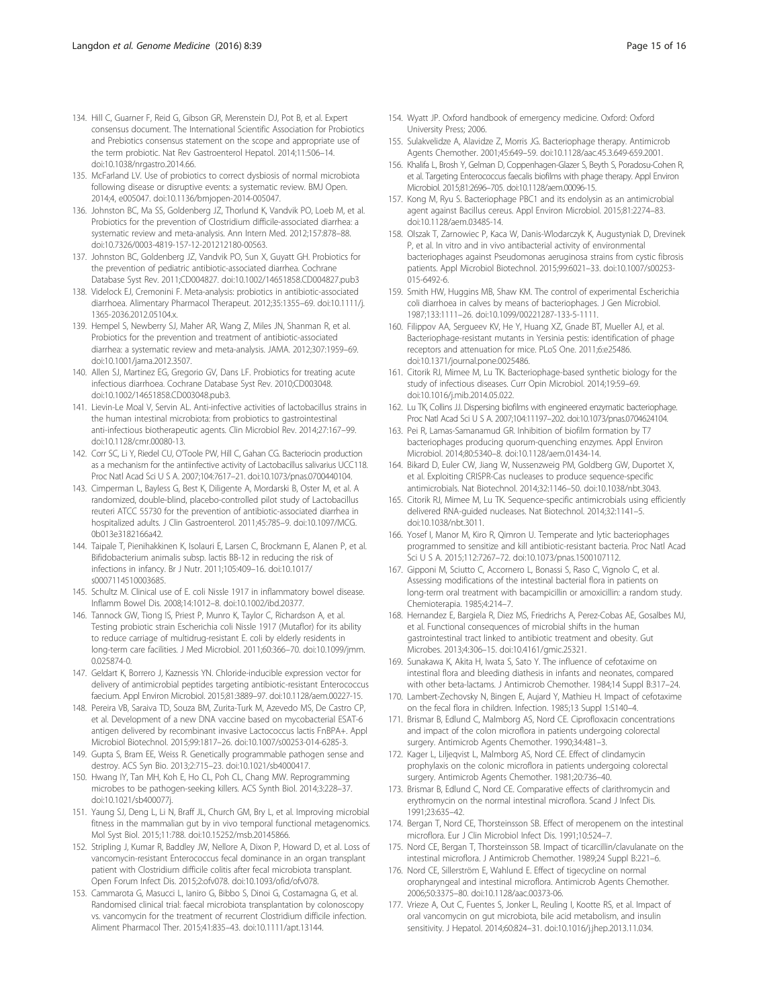- <span id="page-14-0"></span>134. Hill C, Guarner F, Reid G, Gibson GR, Merenstein DJ, Pot B, et al. Expert consensus document. The International Scientific Association for Probiotics and Prebiotics consensus statement on the scope and appropriate use of the term probiotic. Nat Rev Gastroenterol Hepatol. 2014;11:506–14. doi[:10.1038/nrgastro.2014.66.](http://dx.doi.org/10.1038/nrgastro.2014.66)
- 135. McFarland LV. Use of probiotics to correct dysbiosis of normal microbiota following disease or disruptive events: a systematic review. BMJ Open. 2014;4, e005047. doi:[10.1136/bmjopen-2014-005047](http://dx.doi.org/10.1136/bmjopen-2014-005047).
- 136. Johnston BC, Ma SS, Goldenberg JZ, Thorlund K, Vandvik PO, Loeb M, et al. Probiotics for the prevention of Clostridium difficile-associated diarrhea: a systematic review and meta-analysis. Ann Intern Med. 2012;157:878–88. doi[:10.7326/0003-4819-157-12-201212180-00563.](http://dx.doi.org/10.7326/0003-4819-157-12-201212180-00563)
- 137. Johnston BC, Goldenberg JZ, Vandvik PO, Sun X, Guyatt GH. Probiotics for the prevention of pediatric antibiotic-associated diarrhea. Cochrane Database Syst Rev. 2011;CD004827. doi[:10.1002/14651858.CD004827.pub3](http://dx.doi.org/10.1002/14651858.CD004827.pub3)
- 138. Videlock EJ, Cremonini F. Meta-analysis: probiotics in antibiotic-associated diarrhoea. Alimentary Pharmacol Therapeut. 2012;35:1355–69. doi[:10.1111/j.](http://dx.doi.org/10.1111/j.1365-2036.2012.05104.x) [1365-2036.2012.05104.x](http://dx.doi.org/10.1111/j.1365-2036.2012.05104.x).
- 139. Hempel S, Newberry SJ, Maher AR, Wang Z, Miles JN, Shanman R, et al. Probiotics for the prevention and treatment of antibiotic-associated diarrhea: a systematic review and meta-analysis. JAMA. 2012;307:1959–69. doi[:10.1001/jama.2012.3507](http://dx.doi.org/10.1001/jama.2012.3507).
- 140. Allen SJ, Martinez EG, Gregorio GV, Dans LF. Probiotics for treating acute infectious diarrhoea. Cochrane Database Syst Rev. 2010;CD003048. doi[:10.1002/14651858.CD003048.pub3.](http://dx.doi.org/10.1002/14651858.CD003048.pub3)
- 141. Lievin-Le Moal V, Servin AL. Anti-infective activities of lactobacillus strains in the human intestinal microbiota: from probiotics to gastrointestinal anti-infectious biotherapeutic agents. Clin Microbiol Rev. 2014;27:167–99. doi[:10.1128/cmr.00080-13](http://dx.doi.org/10.1128/cmr.00080-13).
- 142. Corr SC, Li Y, Riedel CU, O'Toole PW, Hill C, Gahan CG. Bacteriocin production as a mechanism for the antiinfective activity of Lactobacillus salivarius UCC118. Proc Natl Acad Sci U S A. 2007;104:7617–21. doi[:10.1073/pnas.0700440104](http://dx.doi.org/10.1073/pnas.0700440104).
- 143. Cimperman L, Bayless G, Best K, Diligente A, Mordarski B, Oster M, et al. A randomized, double-blind, placebo-controlled pilot study of Lactobacillus reuteri ATCC 55730 for the prevention of antibiotic-associated diarrhea in hospitalized adults. J Clin Gastroenterol. 2011;45:785–9. doi:[10.1097/MCG.](http://dx.doi.org/10.1097/MCG.0b013e3182166a42) [0b013e3182166a42.](http://dx.doi.org/10.1097/MCG.0b013e3182166a42)
- 144. Taipale T, Pienihakkinen K, Isolauri E, Larsen C, Brockmann E, Alanen P, et al. Bifidobacterium animalis subsp. lactis BB-12 in reducing the risk of infections in infancy. Br J Nutr. 2011;105:409–16. doi:[10.1017/](http://dx.doi.org/10.1017/s0007114510003685) [s0007114510003685.](http://dx.doi.org/10.1017/s0007114510003685)
- 145. Schultz M. Clinical use of E. coli Nissle 1917 in inflammatory bowel disease. Inflamm Bowel Dis. 2008;14:1012–8. doi:[10.1002/ibd.20377](http://dx.doi.org/10.1002/ibd.20377).
- 146. Tannock GW, Tiong IS, Priest P, Munro K, Taylor C, Richardson A, et al. Testing probiotic strain Escherichia coli Nissle 1917 (Mutaflor) for its ability to reduce carriage of multidrug-resistant E. coli by elderly residents in long-term care facilities. J Med Microbiol. 2011;60:366–70. doi[:10.1099/jmm.](http://dx.doi.org/10.1099/jmm.0.025874-0) [0.025874-0](http://dx.doi.org/10.1099/jmm.0.025874-0).
- 147. Geldart K, Borrero J, Kaznessis YN. Chloride-inducible expression vector for delivery of antimicrobial peptides targeting antibiotic-resistant Enterococcus faecium. Appl Environ Microbiol. 2015;81:3889–97. doi[:10.1128/aem.00227-15](http://dx.doi.org/10.1128/aem.00227-15).
- 148. Pereira VB, Saraiva TD, Souza BM, Zurita-Turk M, Azevedo MS, De Castro CP, et al. Development of a new DNA vaccine based on mycobacterial ESAT-6 antigen delivered by recombinant invasive Lactococcus lactis FnBPA+. Appl Microbiol Biotechnol. 2015;99:1817–26. doi:[10.1007/s00253-014-6285-3.](http://dx.doi.org/10.1007/s00253-014-6285-3)
- 149. Gupta S, Bram EE, Weiss R. Genetically programmable pathogen sense and destroy. ACS Syn Bio. 2013;2:715–23. doi:[10.1021/sb4000417](http://dx.doi.org/10.1021/sb4000417).
- 150. Hwang IY, Tan MH, Koh E, Ho CL, Poh CL, Chang MW. Reprogramming microbes to be pathogen-seeking killers. ACS Synth Biol. 2014;3:228–37. doi[:10.1021/sb400077j.](http://dx.doi.org/10.1021/sb400077j)
- 151. Yaung SJ, Deng L, Li N, Braff JL, Church GM, Bry L, et al. Improving microbial fitness in the mammalian gut by in vivo temporal functional metagenomics. Mol Syst Biol. 2015;11:788. doi[:10.15252/msb.20145866](http://dx.doi.org/10.15252/msb.20145866).
- 152. Stripling J, Kumar R, Baddley JW, Nellore A, Dixon P, Howard D, et al. Loss of vancomycin-resistant Enterococcus fecal dominance in an organ transplant patient with Clostridium difficile colitis after fecal microbiota transplant. Open Forum Infect Dis. 2015;2:ofv078. doi[:10.1093/ofid/ofv078](http://dx.doi.org/10.1093/ofid/ofv078).
- 153. Cammarota G, Masucci L, Ianiro G, Bibbo S, Dinoi G, Costamagna G, et al. Randomised clinical trial: faecal microbiota transplantation by colonoscopy vs. vancomycin for the treatment of recurrent Clostridium difficile infection. Aliment Pharmacol Ther. 2015;41:835–43. doi[:10.1111/apt.13144.](http://dx.doi.org/10.1111/apt.13144)
- 154. Wyatt JP. Oxford handbook of emergency medicine. Oxford: Oxford University Press; 2006.
- 155. Sulakvelidze A, Alavidze Z, Morris JG. Bacteriophage therapy. Antimicrob Agents Chemother. 2001;45:649–59. doi[:10.1128/aac.45.3.649-659.2001](http://dx.doi.org/10.1128/aac.45.3.649-659.2001).
- 156. Khalifa L, Brosh Y, Gelman D, Coppenhagen-Glazer S, Beyth S, Poradosu-Cohen R, et al. Targeting Enterococcus faecalis biofilms with phage therapy. Appl Environ Microbiol. 2015;81:2696–705. doi[:10.1128/aem.00096-15](http://dx.doi.org/10.1128/aem.00096-15).
- 157. Kong M, Ryu S. Bacteriophage PBC1 and its endolysin as an antimicrobial agent against Bacillus cereus. Appl Environ Microbiol. 2015;81:2274–83. doi[:10.1128/aem.03485-14.](http://dx.doi.org/10.1128/aem.03485-14)
- 158. Olszak T, Zarnowiec P, Kaca W, Danis-Wlodarczyk K, Augustyniak D, Drevinek P, et al. In vitro and in vivo antibacterial activity of environmental bacteriophages against Pseudomonas aeruginosa strains from cystic fibrosis patients. Appl Microbiol Biotechnol. 2015;99:6021–33. doi[:10.1007/s00253-](http://dx.doi.org/10.1007/s00253-015-6492-6) [015-6492-6](http://dx.doi.org/10.1007/s00253-015-6492-6).
- 159. Smith HW, Huggins MB, Shaw KM. The control of experimental Escherichia coli diarrhoea in calves by means of bacteriophages. J Gen Microbiol. 1987;133:1111–26. doi:[10.1099/00221287-133-5-1111.](http://dx.doi.org/10.1099/00221287-133-5-1111)
- 160. Filippov AA, Sergueev KV, He Y, Huang XZ, Gnade BT, Mueller AJ, et al. Bacteriophage-resistant mutants in Yersinia pestis: identification of phage receptors and attenuation for mice. PLoS One. 2011;6:e25486. doi[:10.1371/journal.pone.0025486.](http://dx.doi.org/10.1371/journal.pone.0025486)
- 161. Citorik RJ, Mimee M, Lu TK. Bacteriophage-based synthetic biology for the study of infectious diseases. Curr Opin Microbiol. 2014;19:59–69. doi[:10.1016/j.mib.2014.05.022](http://dx.doi.org/10.1016/j.mib.2014.05.022).
- 162. Lu TK, Collins JJ. Dispersing biofilms with engineered enzymatic bacteriophage. Proc Natl Acad Sci U S A. 2007;104:11197–202. doi[:10.1073/pnas.0704624104](http://dx.doi.org/10.1073/pnas.0704624104).
- 163. Pei R, Lamas-Samanamud GR. Inhibition of biofilm formation by T7 bacteriophages producing quorum-quenching enzymes. Appl Environ Microbiol. 2014;80:5340–8. doi:[10.1128/aem.01434-14](http://dx.doi.org/10.1128/aem.01434-14).
- 164. Bikard D, Euler CW, Jiang W, Nussenzweig PM, Goldberg GW, Duportet X, et al. Exploiting CRISPR-Cas nucleases to produce sequence-specific antimicrobials. Nat Biotechnol. 2014;32:1146–50. doi:[10.1038/nbt.3043](http://dx.doi.org/10.1038/nbt.3043).
- 165. Citorik RJ, Mimee M, Lu TK. Sequence-specific antimicrobials using efficiently delivered RNA-guided nucleases. Nat Biotechnol. 2014;32:1141–5. doi[:10.1038/nbt.3011.](http://dx.doi.org/10.1038/nbt.3011)
- 166. Yosef I, Manor M, Kiro R, Qimron U. Temperate and lytic bacteriophages programmed to sensitize and kill antibiotic-resistant bacteria. Proc Natl Acad Sci U S A. 2015;112:7267–72. doi[:10.1073/pnas.1500107112.](http://dx.doi.org/10.1073/pnas.1500107112)
- 167. Gipponi M, Sciutto C, Accornero L, Bonassi S, Raso C, Vignolo C, et al. Assessing modifications of the intestinal bacterial flora in patients on long-term oral treatment with bacampicillin or amoxicillin: a random study. Chemioterapia. 1985;4:214–7.
- 168. Hernandez E, Bargiela R, Diez MS, Friedrichs A, Perez-Cobas AE, Gosalbes MJ, et al. Functional consequences of microbial shifts in the human gastrointestinal tract linked to antibiotic treatment and obesity. Gut Microbes. 2013;4:306–15. doi:[10.4161/gmic.25321](http://dx.doi.org/10.4161/gmic.25321).
- 169. Sunakawa K, Akita H, Iwata S, Sato Y. The influence of cefotaxime on intestinal flora and bleeding diathesis in infants and neonates, compared with other beta-lactams. J Antimicrob Chemother. 1984;14 Suppl B:317–24.
- 170. Lambert-Zechovsky N, Bingen E, Aujard Y, Mathieu H. Impact of cefotaxime on the fecal flora in children. Infection. 1985;13 Suppl 1:S140–4.
- 171. Brismar B, Edlund C, Malmborg AS, Nord CE. Ciprofloxacin concentrations and impact of the colon microflora in patients undergoing colorectal surgery. Antimicrob Agents Chemother. 1990;34:481–3.
- 172. Kager L, Liljeqvist L, Malmborg AS, Nord CE. Effect of clindamycin prophylaxis on the colonic microflora in patients undergoing colorectal surgery. Antimicrob Agents Chemother. 1981;20:736–40.
- 173. Brismar B, Edlund C, Nord CE. Comparative effects of clarithromycin and erythromycin on the normal intestinal microflora. Scand J Infect Dis. 1991;23:635–42.
- 174. Bergan T, Nord CE, Thorsteinsson SB. Effect of meropenem on the intestinal microflora. Eur J Clin Microbiol Infect Dis. 1991;10:524–7.
- 175. Nord CE, Bergan T, Thorsteinsson SB. Impact of ticarcillin/clavulanate on the intestinal microflora. J Antimicrob Chemother. 1989;24 Suppl B:221–6.
- 176. Nord CE, Sillerström E, Wahlund E. Effect of tigecycline on normal oropharyngeal and intestinal microflora. Antimicrob Agents Chemother. 2006;50:3375–80. doi[:10.1128/aac.00373-06.](http://dx.doi.org/10.1128/aac.00373-06)
- 177. Vrieze A, Out C, Fuentes S, Jonker L, Reuling I, Kootte RS, et al. Impact of oral vancomycin on gut microbiota, bile acid metabolism, and insulin sensitivity. J Hepatol. 2014;60:824–31. doi:[10.1016/j.jhep.2013.11.034](http://dx.doi.org/10.1016/j.jhep.2013.11.034).